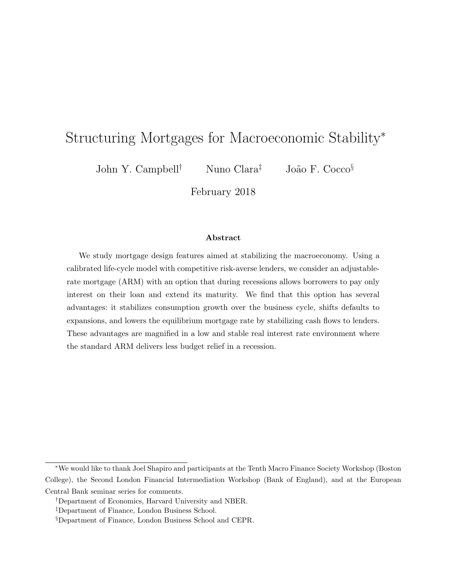# Structuring Mortgages for Macroeconomic Stability<sup>∗</sup>

John Y. Campbell<sup>†</sup> Nuno Clara<sup>‡</sup> João F. Cocco<sup>§</sup>

February 2018

#### Abstract

We study mortgage design features aimed at stabilizing the macroeconomy. Using a calibrated life-cycle model with competitive risk-averse lenders, we consider an adjustablerate mortgage (ARM) with an option that during recessions allows borrowers to pay only interest on their loan and extend its maturity. We find that this option has several advantages: it stabilizes consumption growth over the business cycle, shifts defaults to expansions, and lowers the equilibrium mortgage rate by stabilizing cash flows to lenders. These advantages are magnified in a low and stable real interest rate environment where the standard ARM delivers less budget relief in a recession.

<sup>∗</sup>We would like to thank Joel Shapiro and participants at the Tenth Macro Finance Society Workshop (Boston College), the Second London Financial Intermediation Workshop (Bank of England), and at the European Central Bank seminar series for comments.

<sup>†</sup>Department of Economics, Harvard University and NBER.

<sup>‡</sup>Department of Finance, London Business School.

<sup>§</sup>Department of Finance, London Business School and CEPR.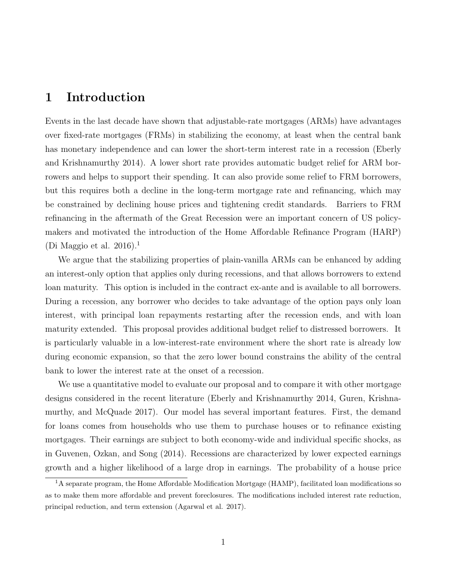## 1 Introduction

Events in the last decade have shown that adjustable-rate mortgages (ARMs) have advantages over fixed-rate mortgages (FRMs) in stabilizing the economy, at least when the central bank has monetary independence and can lower the short-term interest rate in a recession (Eberly and Krishnamurthy 2014). A lower short rate provides automatic budget relief for ARM borrowers and helps to support their spending. It can also provide some relief to FRM borrowers, but this requires both a decline in the long-term mortgage rate and refinancing, which may be constrained by declining house prices and tightening credit standards. Barriers to FRM refinancing in the aftermath of the Great Recession were an important concern of US policymakers and motivated the introduction of the Home Affordable Refinance Program (HARP) (Di Maggio et al. 2016).<sup>1</sup>

We argue that the stabilizing properties of plain-vanilla ARMs can be enhanced by adding an interest-only option that applies only during recessions, and that allows borrowers to extend loan maturity. This option is included in the contract ex-ante and is available to all borrowers. During a recession, any borrower who decides to take advantage of the option pays only loan interest, with principal loan repayments restarting after the recession ends, and with loan maturity extended. This proposal provides additional budget relief to distressed borrowers. It is particularly valuable in a low-interest-rate environment where the short rate is already low during economic expansion, so that the zero lower bound constrains the ability of the central bank to lower the interest rate at the onset of a recession.

We use a quantitative model to evaluate our proposal and to compare it with other mortgage designs considered in the recent literature (Eberly and Krishnamurthy 2014, Guren, Krishnamurthy, and McQuade 2017). Our model has several important features. First, the demand for loans comes from households who use them to purchase houses or to refinance existing mortgages. Their earnings are subject to both economy-wide and individual specific shocks, as in Guvenen, Ozkan, and Song (2014). Recessions are characterized by lower expected earnings growth and a higher likelihood of a large drop in earnings. The probability of a house price

 $1<sup>1</sup>A$  separate program, the Home Affordable Modification Mortgage (HAMP), facilitated loan modifications so as to make them more affordable and prevent foreclosures. The modifications included interest rate reduction, principal reduction, and term extension (Agarwal et al. 2017).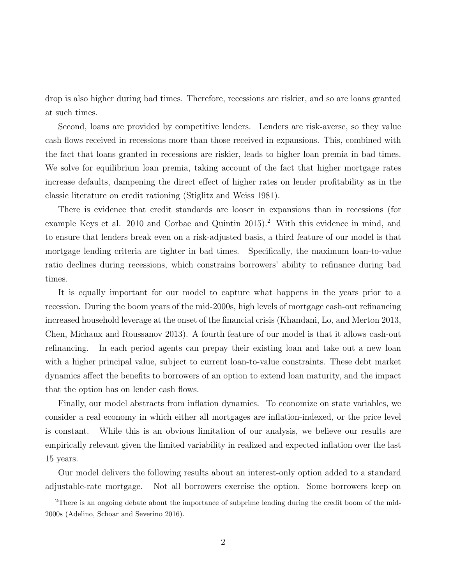drop is also higher during bad times. Therefore, recessions are riskier, and so are loans granted at such times.

Second, loans are provided by competitive lenders. Lenders are risk-averse, so they value cash flows received in recessions more than those received in expansions. This, combined with the fact that loans granted in recessions are riskier, leads to higher loan premia in bad times. We solve for equilibrium loan premia, taking account of the fact that higher mortgage rates increase defaults, dampening the direct effect of higher rates on lender profitability as in the classic literature on credit rationing (Stiglitz and Weiss 1981).

There is evidence that credit standards are looser in expansions than in recessions (for example Keys et al. 2010 and Corbae and Quintin 2015).<sup>2</sup> With this evidence in mind, and to ensure that lenders break even on a risk-adjusted basis, a third feature of our model is that mortgage lending criteria are tighter in bad times. Specifically, the maximum loan-to-value ratio declines during recessions, which constrains borrowers' ability to refinance during bad times.

It is equally important for our model to capture what happens in the years prior to a recession. During the boom years of the mid-2000s, high levels of mortgage cash-out refinancing increased household leverage at the onset of the financial crisis (Khandani, Lo, and Merton 2013, Chen, Michaux and Roussanov 2013). A fourth feature of our model is that it allows cash-out refinancing. In each period agents can prepay their existing loan and take out a new loan with a higher principal value, subject to current loan-to-value constraints. These debt market dynamics affect the benefits to borrowers of an option to extend loan maturity, and the impact that the option has on lender cash flows.

Finally, our model abstracts from inflation dynamics. To economize on state variables, we consider a real economy in which either all mortgages are inflation-indexed, or the price level is constant. While this is an obvious limitation of our analysis, we believe our results are empirically relevant given the limited variability in realized and expected inflation over the last 15 years.

Our model delivers the following results about an interest-only option added to a standard adjustable-rate mortgage. Not all borrowers exercise the option. Some borrowers keep on

<sup>&</sup>lt;sup>2</sup>There is an ongoing debate about the importance of subprime lending during the credit boom of the mid-2000s (Adelino, Schoar and Severino 2016).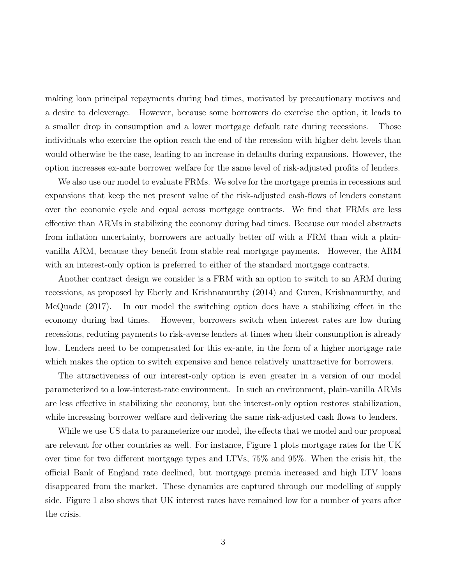making loan principal repayments during bad times, motivated by precautionary motives and a desire to deleverage. However, because some borrowers do exercise the option, it leads to a smaller drop in consumption and a lower mortgage default rate during recessions. Those individuals who exercise the option reach the end of the recession with higher debt levels than would otherwise be the case, leading to an increase in defaults during expansions. However, the option increases ex-ante borrower welfare for the same level of risk-adjusted profits of lenders.

We also use our model to evaluate FRMs. We solve for the mortgage premia in recessions and expansions that keep the net present value of the risk-adjusted cash-flows of lenders constant over the economic cycle and equal across mortgage contracts. We find that FRMs are less effective than ARMs in stabilizing the economy during bad times. Because our model abstracts from inflation uncertainty, borrowers are actually better off with a FRM than with a plainvanilla ARM, because they benefit from stable real mortgage payments. However, the ARM with an interest-only option is preferred to either of the standard mortgage contracts.

Another contract design we consider is a FRM with an option to switch to an ARM during recessions, as proposed by Eberly and Krishnamurthy (2014) and Guren, Krishnamurthy, and McQuade (2017). In our model the switching option does have a stabilizing effect in the economy during bad times. However, borrowers switch when interest rates are low during recessions, reducing payments to risk-averse lenders at times when their consumption is already low. Lenders need to be compensated for this ex-ante, in the form of a higher mortgage rate which makes the option to switch expensive and hence relatively unattractive for borrowers.

The attractiveness of our interest-only option is even greater in a version of our model parameterized to a low-interest-rate environment. In such an environment, plain-vanilla ARMs are less effective in stabilizing the economy, but the interest-only option restores stabilization, while increasing borrower welfare and delivering the same risk-adjusted cash flows to lenders.

While we use US data to parameterize our model, the effects that we model and our proposal are relevant for other countries as well. For instance, Figure 1 plots mortgage rates for the UK over time for two different mortgage types and LTVs, 75% and 95%. When the crisis hit, the official Bank of England rate declined, but mortgage premia increased and high LTV loans disappeared from the market. These dynamics are captured through our modelling of supply side. Figure 1 also shows that UK interest rates have remained low for a number of years after the crisis.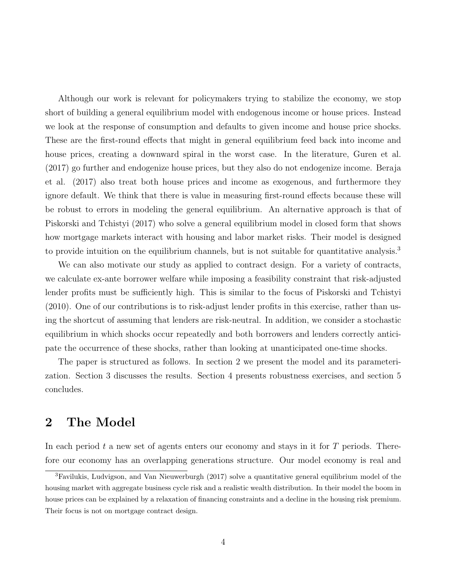Although our work is relevant for policymakers trying to stabilize the economy, we stop short of building a general equilibrium model with endogenous income or house prices. Instead we look at the response of consumption and defaults to given income and house price shocks. These are the first-round effects that might in general equilibrium feed back into income and house prices, creating a downward spiral in the worst case. In the literature, Guren et al. (2017) go further and endogenize house prices, but they also do not endogenize income. Beraja et al. (2017) also treat both house prices and income as exogenous, and furthermore they ignore default. We think that there is value in measuring first-round effects because these will be robust to errors in modeling the general equilibrium. An alternative approach is that of Piskorski and Tchistyi (2017) who solve a general equilibrium model in closed form that shows how mortgage markets interact with housing and labor market risks. Their model is designed to provide intuition on the equilibrium channels, but is not suitable for quantitative analysis.<sup>3</sup>

We can also motivate our study as applied to contract design. For a variety of contracts, we calculate ex-ante borrower welfare while imposing a feasibility constraint that risk-adjusted lender profits must be sufficiently high. This is similar to the focus of Piskorski and Tchistyi (2010). One of our contributions is to risk-adjust lender profits in this exercise, rather than using the shortcut of assuming that lenders are risk-neutral. In addition, we consider a stochastic equilibrium in which shocks occur repeatedly and both borrowers and lenders correctly anticipate the occurrence of these shocks, rather than looking at unanticipated one-time shocks.

The paper is structured as follows. In section 2 we present the model and its parameterization. Section 3 discusses the results. Section 4 presents robustness exercises, and section 5 concludes.

## 2 The Model

In each period  $t$  a new set of agents enters our economy and stays in it for  $T$  periods. Therefore our economy has an overlapping generations structure. Our model economy is real and

<sup>3</sup>Favilukis, Ludvigson, and Van Nieuwerburgh (2017) solve a quantitative general equilibrium model of the housing market with aggregate business cycle risk and a realistic wealth distribution. In their model the boom in house prices can be explained by a relaxation of financing constraints and a decline in the housing risk premium. Their focus is not on mortgage contract design.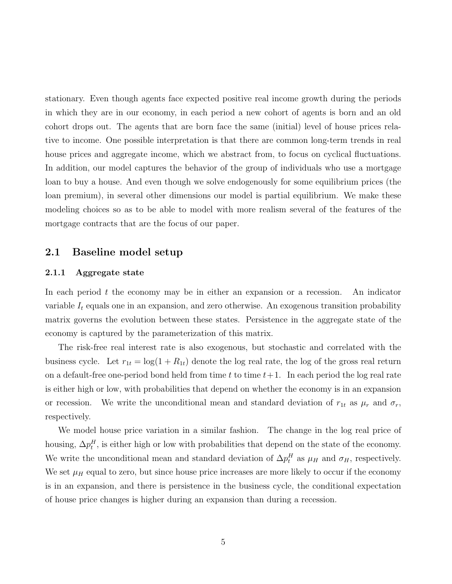stationary. Even though agents face expected positive real income growth during the periods in which they are in our economy, in each period a new cohort of agents is born and an old cohort drops out. The agents that are born face the same (initial) level of house prices relative to income. One possible interpretation is that there are common long-term trends in real house prices and aggregate income, which we abstract from, to focus on cyclical fluctuations. In addition, our model captures the behavior of the group of individuals who use a mortgage loan to buy a house. And even though we solve endogenously for some equilibrium prices (the loan premium), in several other dimensions our model is partial equilibrium. We make these modeling choices so as to be able to model with more realism several of the features of the mortgage contracts that are the focus of our paper.

### 2.1 Baseline model setup

### 2.1.1 Aggregate state

In each period  $t$  the economy may be in either an expansion or a recession. An indicator variable  $I_t$  equals one in an expansion, and zero otherwise. An exogenous transition probability matrix governs the evolution between these states. Persistence in the aggregate state of the economy is captured by the parameterization of this matrix.

The risk-free real interest rate is also exogenous, but stochastic and correlated with the business cycle. Let  $r_{1t} = \log(1 + R_{1t})$  denote the log real rate, the log of the gross real return on a default-free one-period bond held from time t to time  $t+1$ . In each period the log real rate is either high or low, with probabilities that depend on whether the economy is in an expansion or recession. We write the unconditional mean and standard deviation of  $r_{1t}$  as  $\mu_r$  and  $\sigma_r$ , respectively.

We model house price variation in a similar fashion. The change in the log real price of housing,  $\Delta p_t^H$ , is either high or low with probabilities that depend on the state of the economy. We write the unconditional mean and standard deviation of  $\Delta p_t^H$  as  $\mu_H$  and  $\sigma_H$ , respectively. We set  $\mu_H$  equal to zero, but since house price increases are more likely to occur if the economy is in an expansion, and there is persistence in the business cycle, the conditional expectation of house price changes is higher during an expansion than during a recession.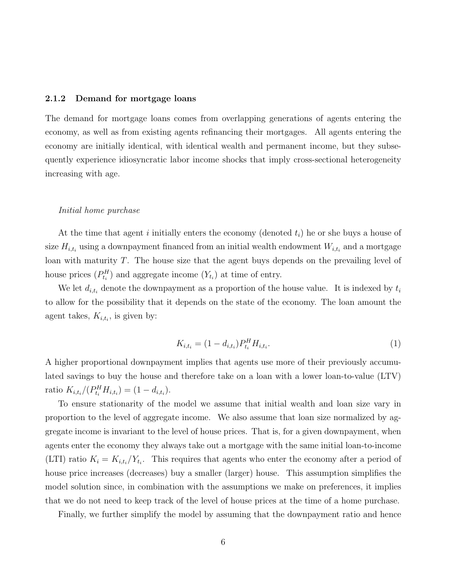#### 2.1.2 Demand for mortgage loans

The demand for mortgage loans comes from overlapping generations of agents entering the economy, as well as from existing agents refinancing their mortgages. All agents entering the economy are initially identical, with identical wealth and permanent income, but they subsequently experience idiosyncratic labor income shocks that imply cross-sectional heterogeneity increasing with age.

#### Initial home purchase

At the time that agent i initially enters the economy (denoted  $t_i$ ) he or she buys a house of size  $H_{i,t_i}$  using a downpayment financed from an initial wealth endowment  $W_{i,t_i}$  and a mortgage loan with maturity T. The house size that the agent buys depends on the prevailing level of house prices  $(P_{t_i}^H)$  and aggregate income  $(Y_{t_i})$  at time of entry.

We let  $d_{i,t_i}$  denote the downpayment as a proportion of the house value. It is indexed by  $t_i$ to allow for the possibility that it depends on the state of the economy. The loan amount the agent takes,  $K_{i,t_i}$ , is given by:

$$
K_{i,t_i} = (1 - d_{i,t_i}) P_{t_i}^H H_{i,t_i}.
$$
\n<sup>(1)</sup>

A higher proportional downpayment implies that agents use more of their previously accumulated savings to buy the house and therefore take on a loan with a lower loan-to-value (LTV) ratio  $K_{i,t_i}/(P_{t_i}^H H_{i,t_i}) = (1 - d_{i,t_i}).$ 

To ensure stationarity of the model we assume that initial wealth and loan size vary in proportion to the level of aggregate income. We also assume that loan size normalized by aggregate income is invariant to the level of house prices. That is, for a given downpayment, when agents enter the economy they always take out a mortgage with the same initial loan-to-income (LTI) ratio  $K_i = K_{i,t_i}/Y_{t_i}$ . This requires that agents who enter the economy after a period of house price increases (decreases) buy a smaller (larger) house. This assumption simplifies the model solution since, in combination with the assumptions we make on preferences, it implies that we do not need to keep track of the level of house prices at the time of a home purchase.

Finally, we further simplify the model by assuming that the downpayment ratio and hence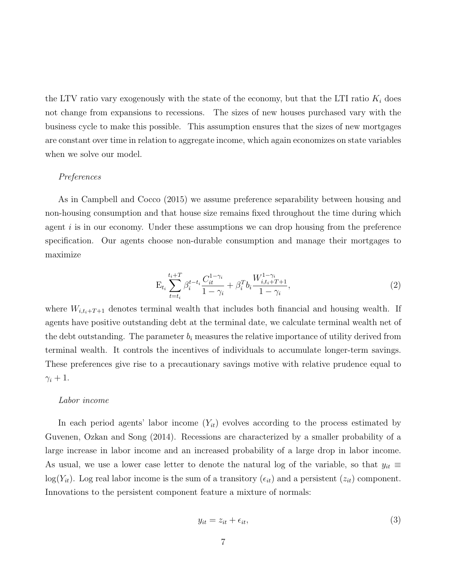the LTV ratio vary exogenously with the state of the economy, but that the LTI ratio  $K_i$  does not change from expansions to recessions. The sizes of new houses purchased vary with the business cycle to make this possible. This assumption ensures that the sizes of new mortgages are constant over time in relation to aggregate income, which again economizes on state variables when we solve our model.

#### Preferences

As in Campbell and Cocco (2015) we assume preference separability between housing and non-housing consumption and that house size remains fixed throughout the time during which agent  $i$  is in our economy. Under these assumptions we can drop housing from the preference specification. Our agents choose non-durable consumption and manage their mortgages to maximize

$$
E_{t_i} \sum_{t=t_i}^{t_i+T} \beta_i^{t-t_i} \frac{C_{it}^{1-\gamma_i}}{1-\gamma_i} + \beta_i^T b_i \frac{W_{i,t_i+T+1}^{1-\gamma_i}}{1-\gamma_i},
$$
\n(2)

where  $W_{i,t_i+T+1}$  denotes terminal wealth that includes both financial and housing wealth. If agents have positive outstanding debt at the terminal date, we calculate terminal wealth net of the debt outstanding. The parameter  $b_i$  measures the relative importance of utility derived from terminal wealth. It controls the incentives of individuals to accumulate longer-term savings. These preferences give rise to a precautionary savings motive with relative prudence equal to  $\gamma_i+1$ .

#### Labor income

In each period agents' labor income  $(Y_{it})$  evolves according to the process estimated by Guvenen, Ozkan and Song (2014). Recessions are characterized by a smaller probability of a large increase in labor income and an increased probability of a large drop in labor income. As usual, we use a lower case letter to denote the natural log of the variable, so that  $y_{it} \equiv$  $log(Y_{it})$ . Log real labor income is the sum of a transitory  $(\epsilon_{it})$  and a persistent  $(z_{it})$  component. Innovations to the persistent component feature a mixture of normals:

$$
y_{it} = z_{it} + \epsilon_{it},\tag{3}
$$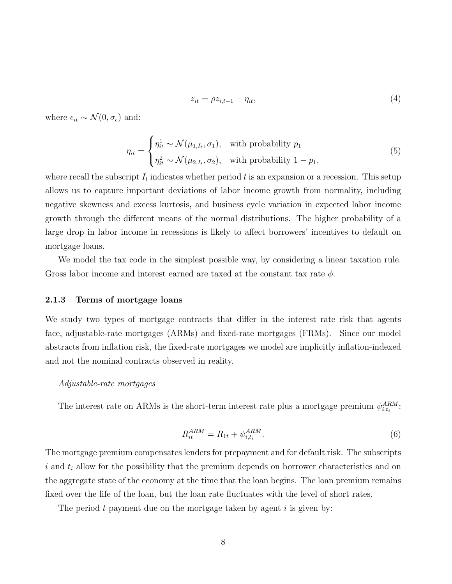$$
z_{it} = \rho z_{i,t-1} + \eta_{it},\tag{4}
$$

where  $\epsilon_{it} \sim \mathcal{N}(0, \sigma_{\epsilon})$  and:

$$
\eta_{it} = \begin{cases} \eta_{it}^1 \sim \mathcal{N}(\mu_{1,I_t}, \sigma_1), & \text{with probability } p_1 \\ \eta_{it}^2 \sim \mathcal{N}(\mu_{2,I_t}, \sigma_2), & \text{with probability } 1 - p_1, \end{cases}
$$
(5)

where recall the subscript  $I_t$  indicates whether period  $t$  is an expansion or a recession. This setup allows us to capture important deviations of labor income growth from normality, including negative skewness and excess kurtosis, and business cycle variation in expected labor income growth through the different means of the normal distributions. The higher probability of a large drop in labor income in recessions is likely to affect borrowers' incentives to default on mortgage loans.

We model the tax code in the simplest possible way, by considering a linear taxation rule. Gross labor income and interest earned are taxed at the constant tax rate  $\phi$ .

### 2.1.3 Terms of mortgage loans

We study two types of mortgage contracts that differ in the interest rate risk that agents face, adjustable-rate mortgages (ARMs) and fixed-rate mortgages (FRMs). Since our model abstracts from inflation risk, the fixed-rate mortgages we model are implicitly inflation-indexed and not the nominal contracts observed in reality.

### Adjustable-rate mortgages

The interest rate on ARMs is the short-term interest rate plus a mortgage premium  $\psi_{i,t_i}^{ARM}$ .

$$
R_{it}^{ARM} = R_{1t} + \psi_{i,t_i}^{ARM}.\tag{6}
$$

The mortgage premium compensates lenders for prepayment and for default risk. The subscripts  $i$  and  $t_i$  allow for the possibility that the premium depends on borrower characteristics and on the aggregate state of the economy at the time that the loan begins. The loan premium remains fixed over the life of the loan, but the loan rate fluctuates with the level of short rates.

The period t payment due on the mortgage taken by agent  $i$  is given by: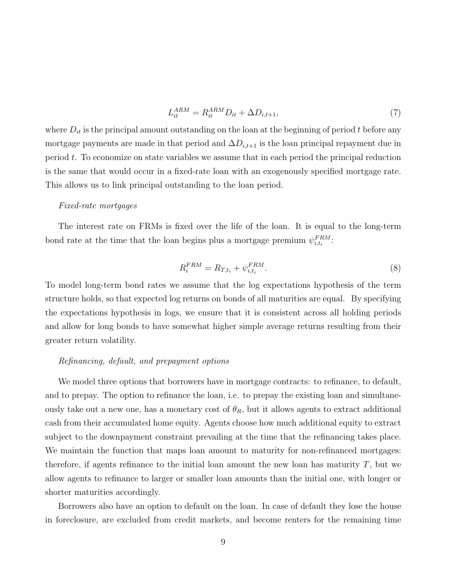$$
L_{it}^{ARM} = R_{it}^{ARM}D_{it} + \Delta D_{i,t+1},\tag{7}
$$

where  $D_{it}$  is the principal amount outstanding on the loan at the beginning of period t before any mortgage payments are made in that period and  $\Delta D_{i,t+1}$  is the loan principal repayment due in period t. To economize on state variables we assume that in each period the principal reduction is the same that would occur in a fixed-rate loan with an exogenously specified mortgage rate. This allows us to link principal outstanding to the loan period.

#### Fixed-rate mortgages

The interest rate on FRMs is fixed over the life of the loan. It is equal to the long-term bond rate at the time that the loan begins plus a mortgage premium  $\psi_{i,t_i}^{FRM}$ :

$$
R_i^{FRM} = R_{T,t_i} + \psi_{i,t_i}^{FRM}.
$$
\n
$$
(8)
$$

To model long-term bond rates we assume that the log expectations hypothesis of the term structure holds, so that expected log returns on bonds of all maturities are equal. By specifying the expectations hypothesis in logs, we ensure that it is consistent across all holding periods and allow for long bonds to have somewhat higher simple average returns resulting from their greater return volatility.

### Refinancing, default, and prepayment options

We model three options that borrowers have in mortgage contracts: to refinance, to default, and to prepay. The option to refinance the loan, i.e. to prepay the existing loan and simultaneously take out a new one, has a monetary cost of  $\theta_R$ , but it allows agents to extract additional cash from their accumulated home equity. Agents choose how much additional equity to extract subject to the downpayment constraint prevailing at the time that the refinancing takes place. We maintain the function that maps loan amount to maturity for non-refinanced mortgages: therefore, if agents refinance to the initial loan amount the new loan has maturity  $T$ , but we allow agents to refinance to larger or smaller loan amounts than the initial one, with longer or shorter maturities accordingly.

Borrowers also have an option to default on the loan. In case of default they lose the house in foreclosure, are excluded from credit markets, and become renters for the remaining time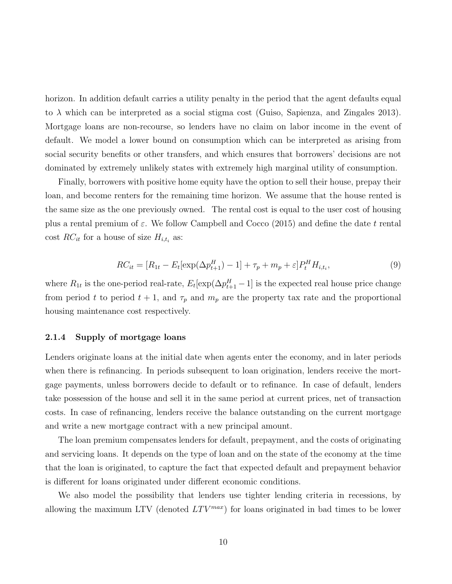horizon. In addition default carries a utility penalty in the period that the agent defaults equal to  $\lambda$  which can be interpreted as a social stigma cost (Guiso, Sapienza, and Zingales 2013). Mortgage loans are non-recourse, so lenders have no claim on labor income in the event of default. We model a lower bound on consumption which can be interpreted as arising from social security benefits or other transfers, and which ensures that borrowers' decisions are not dominated by extremely unlikely states with extremely high marginal utility of consumption.

Finally, borrowers with positive home equity have the option to sell their house, prepay their loan, and become renters for the remaining time horizon. We assume that the house rented is the same size as the one previously owned. The rental cost is equal to the user cost of housing plus a rental premium of  $\varepsilon$ . We follow Campbell and Cocco (2015) and define the date t rental cost  $RC_{it}$  for a house of size  $H_{i,t_i}$  as:

$$
RC_{it} = [R_{1t} - E_t[\exp(\Delta p_{t+1}^H) - 1] + \tau_p + m_p + \varepsilon]P_t^H H_{i,t_i},
$$
\n(9)

where  $R_{1t}$  is the one-period real-rate,  $E_t[\exp(\Delta p_{t+1}^H - 1]$  is the expected real house price change from period t to period  $t + 1$ , and  $\tau_p$  and  $m_p$  are the property tax rate and the proportional housing maintenance cost respectively.

### 2.1.4 Supply of mortgage loans

Lenders originate loans at the initial date when agents enter the economy, and in later periods when there is refinancing. In periods subsequent to loan origination, lenders receive the mortgage payments, unless borrowers decide to default or to refinance. In case of default, lenders take possession of the house and sell it in the same period at current prices, net of transaction costs. In case of refinancing, lenders receive the balance outstanding on the current mortgage and write a new mortgage contract with a new principal amount.

The loan premium compensates lenders for default, prepayment, and the costs of originating and servicing loans. It depends on the type of loan and on the state of the economy at the time that the loan is originated, to capture the fact that expected default and prepayment behavior is different for loans originated under different economic conditions.

We also model the possibility that lenders use tighter lending criteria in recessions, by allowing the maximum LTV (denoted  $LTV^{max}$ ) for loans originated in bad times to be lower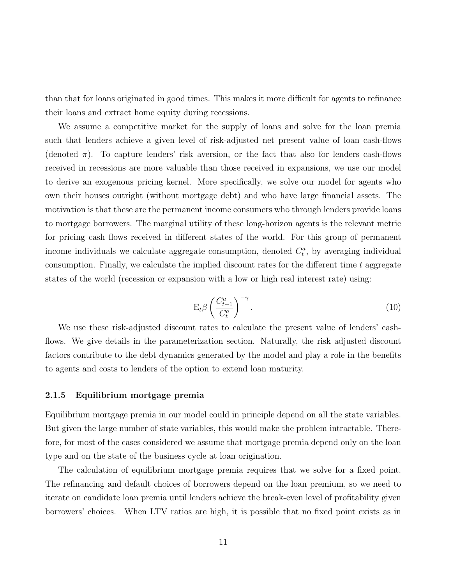than that for loans originated in good times. This makes it more difficult for agents to refinance their loans and extract home equity during recessions.

We assume a competitive market for the supply of loans and solve for the loan premia such that lenders achieve a given level of risk-adjusted net present value of loan cash-flows (denoted  $\pi$ ). To capture lenders' risk aversion, or the fact that also for lenders cash-flows received in recessions are more valuable than those received in expansions, we use our model to derive an exogenous pricing kernel. More specifically, we solve our model for agents who own their houses outright (without mortgage debt) and who have large financial assets. The motivation is that these are the permanent income consumers who through lenders provide loans to mortgage borrowers. The marginal utility of these long-horizon agents is the relevant metric for pricing cash flows received in different states of the world. For this group of permanent income individuals we calculate aggregate consumption, denoted  $C_t^a$ , by averaging individual consumption. Finally, we calculate the implied discount rates for the different time  $t$  aggregate states of the world (recession or expansion with a low or high real interest rate) using:

$$
E_t \beta \left(\frac{C_{t+1}^a}{C_t^a}\right)^{-\gamma}.
$$
\n(10)

We use these risk-adjusted discount rates to calculate the present value of lenders' cashflows. We give details in the parameterization section. Naturally, the risk adjusted discount factors contribute to the debt dynamics generated by the model and play a role in the benefits to agents and costs to lenders of the option to extend loan maturity.

### 2.1.5 Equilibrium mortgage premia

Equilibrium mortgage premia in our model could in principle depend on all the state variables. But given the large number of state variables, this would make the problem intractable. Therefore, for most of the cases considered we assume that mortgage premia depend only on the loan type and on the state of the business cycle at loan origination.

The calculation of equilibrium mortgage premia requires that we solve for a fixed point. The refinancing and default choices of borrowers depend on the loan premium, so we need to iterate on candidate loan premia until lenders achieve the break-even level of profitability given borrowers' choices. When LTV ratios are high, it is possible that no fixed point exists as in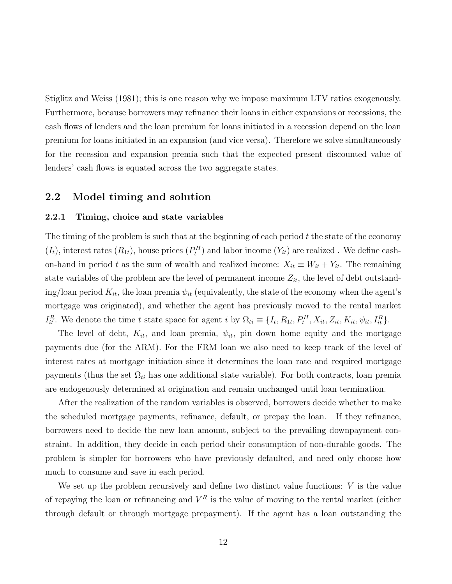Stiglitz and Weiss (1981); this is one reason why we impose maximum LTV ratios exogenously. Furthermore, because borrowers may refinance their loans in either expansions or recessions, the cash flows of lenders and the loan premium for loans initiated in a recession depend on the loan premium for loans initiated in an expansion (and vice versa). Therefore we solve simultaneously for the recession and expansion premia such that the expected present discounted value of lenders' cash flows is equated across the two aggregate states.

### 2.2 Model timing and solution

#### 2.2.1 Timing, choice and state variables

The timing of the problem is such that at the beginning of each period  $t$  the state of the economy  $(I_t)$ , interest rates  $(R_{1t})$ , house prices  $(P_t^H)$  and labor income  $(Y_{it})$  are realized. We define cashon-hand in period t as the sum of wealth and realized income:  $X_{it} \equiv W_{it} + Y_{it}$ . The remaining state variables of the problem are the level of permanent income  $Z_{it}$ , the level of debt outstanding/loan period  $K_{it}$ , the loan premia  $\psi_{it}$  (equivalently, the state of the economy when the agent's mortgage was originated), and whether the agent has previously moved to the rental market  $I_{it}^{R}$ . We denote the time t state space for agent i by  $\Omega_{ti} \equiv \{I_t, R_{1t}, P_t^H, X_{it}, Z_{it}, K_{it}, \psi_{it}, I_{it}^R\}.$ 

The level of debt,  $K_{it}$ , and loan premia,  $\psi_{it}$ , pin down home equity and the mortgage payments due (for the ARM). For the FRM loan we also need to keep track of the level of interest rates at mortgage initiation since it determines the loan rate and required mortgage payments (thus the set  $\Omega_{ti}$  has one additional state variable). For both contracts, loan premia are endogenously determined at origination and remain unchanged until loan termination.

After the realization of the random variables is observed, borrowers decide whether to make the scheduled mortgage payments, refinance, default, or prepay the loan. If they refinance, borrowers need to decide the new loan amount, subject to the prevailing downpayment constraint. In addition, they decide in each period their consumption of non-durable goods. The problem is simpler for borrowers who have previously defaulted, and need only choose how much to consume and save in each period.

We set up the problem recursively and define two distinct value functions: V is the value of repaying the loan or refinancing and  $V^R$  is the value of moving to the rental market (either through default or through mortgage prepayment). If the agent has a loan outstanding the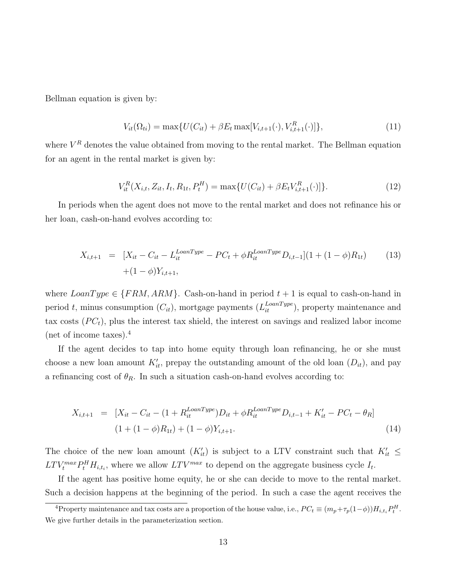Bellman equation is given by:

$$
V_{it}(\Omega_{ti}) = \max\{U(C_{it}) + \beta E_t \max[V_{i,t+1}(\cdot), V_{i,t+1}^R(\cdot)]\},\tag{11}
$$

where  $V^R$  denotes the value obtained from moving to the rental market. The Bellman equation for an agent in the rental market is given by:

$$
V_{it}^{R}(X_{i,t}, Z_{it}, I_t, R_{1t}, P_t^H) = \max\{U(C_{it}) + \beta E_t V_{i,t+1}^R(\cdot)]\}.
$$
\n(12)

In periods when the agent does not move to the rental market and does not refinance his or her loan, cash-on-hand evolves according to:

$$
X_{i,t+1} = [X_{it} - C_{it} - L_{it}^{LoanType} - PC_t + \phi R_{it}^{LoanType} D_{i,t-1}] (1 + (1 - \phi) R_{1t}) \qquad (13)
$$

$$
+ (1 - \phi) Y_{i,t+1},
$$

where  $LeanType \in \{FRM, ARM\}$ . Cash-on-hand in period  $t + 1$  is equal to cash-on-hand in period t, minus consumption  $(C_{it})$ , mortgage payments  $(L_{it}^{LoanType})$ , property maintenance and tax costs  $(PC_t)$ , plus the interest tax shield, the interest on savings and realized labor income (net of income taxes).<sup>4</sup>

If the agent decides to tap into home equity through loan refinancing, he or she must choose a new loan amount  $K'_{it}$ , prepay the outstanding amount of the old loan  $(D_{it})$ , and pay a refinancing cost of  $\theta_R$ . In such a situation cash-on-hand evolves according to:

$$
X_{i,t+1} = [X_{it} - C_{it} - (1 + R_{it}^{LoanType})D_{it} + \phi R_{it}^{LoanType}D_{i,t-1} + K_{it}' - PC_t - \theta_R]
$$
  

$$
(1 + (1 - \phi)R_{1t}) + (1 - \phi)Y_{i,t+1}.
$$
 (14)

The choice of the new loan amount  $(K'_{it})$  is subject to a LTV constraint such that  $K'_{it} \leq$  $LTV_t^{max}P_t^H H_{i,t_i}$ , where we allow  $LTV^{max}$  to depend on the aggregate business cycle  $I_t$ .

If the agent has positive home equity, he or she can decide to move to the rental market. Such a decision happens at the beginning of the period. In such a case the agent receives the

<sup>&</sup>lt;sup>4</sup>Property maintenance and tax costs are a proportion of the house value, i.e.,  $PC_t \equiv (m_p + \tau_p(1-\phi))H_{i,t_i}P_t^H$ . We give further details in the parameterization section.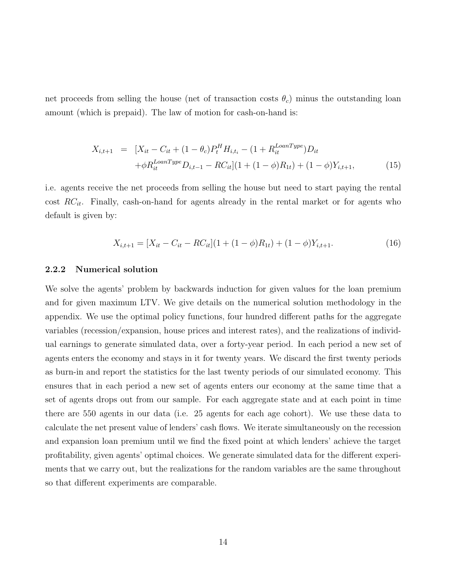net proceeds from selling the house (net of transaction costs  $\theta_c$ ) minus the outstanding loan amount (which is prepaid). The law of motion for cash-on-hand is:

$$
X_{i,t+1} = [X_{it} - C_{it} + (1 - \theta_c)P_t^H H_{i,t_i} - (1 + R_{it}^{LoanType})D_{it}
$$
  
+  $\phi R_{it}^{LoanType} D_{i,t-1} - RC_{it}[(1 + (1 - \phi)R_{1t}) + (1 - \phi)Y_{i,t+1},$  (15)

i.e. agents receive the net proceeds from selling the house but need to start paying the rental cost  $RC_{it}$ . Finally, cash-on-hand for agents already in the rental market or for agents who default is given by:

$$
X_{i,t+1} = [X_{it} - C_{it} - RC_{it}](1 + (1 - \phi)R_{1t}) + (1 - \phi)Y_{i,t+1}.
$$
\n(16)

### 2.2.2 Numerical solution

We solve the agents' problem by backwards induction for given values for the loan premium and for given maximum LTV. We give details on the numerical solution methodology in the appendix. We use the optimal policy functions, four hundred different paths for the aggregate variables (recession/expansion, house prices and interest rates), and the realizations of individual earnings to generate simulated data, over a forty-year period. In each period a new set of agents enters the economy and stays in it for twenty years. We discard the first twenty periods as burn-in and report the statistics for the last twenty periods of our simulated economy. This ensures that in each period a new set of agents enters our economy at the same time that a set of agents drops out from our sample. For each aggregate state and at each point in time there are 550 agents in our data (i.e. 25 agents for each age cohort). We use these data to calculate the net present value of lenders' cash flows. We iterate simultaneously on the recession and expansion loan premium until we find the fixed point at which lenders' achieve the target profitability, given agents' optimal choices. We generate simulated data for the different experiments that we carry out, but the realizations for the random variables are the same throughout so that different experiments are comparable.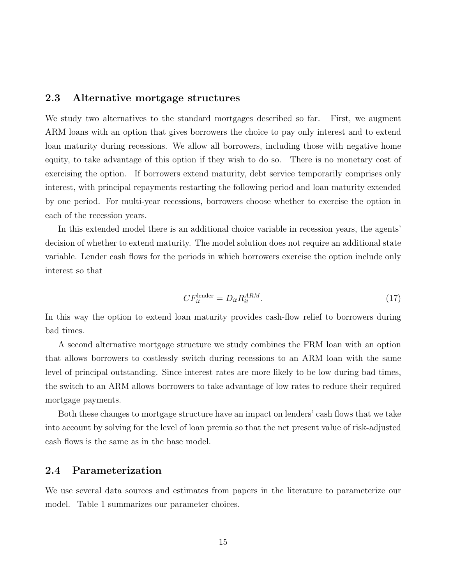### 2.3 Alternative mortgage structures

We study two alternatives to the standard mortgages described so far. First, we augment ARM loans with an option that gives borrowers the choice to pay only interest and to extend loan maturity during recessions. We allow all borrowers, including those with negative home equity, to take advantage of this option if they wish to do so. There is no monetary cost of exercising the option. If borrowers extend maturity, debt service temporarily comprises only interest, with principal repayments restarting the following period and loan maturity extended by one period. For multi-year recessions, borrowers choose whether to exercise the option in each of the recession years.

In this extended model there is an additional choice variable in recession years, the agents' decision of whether to extend maturity. The model solution does not require an additional state variable. Lender cash flows for the periods in which borrowers exercise the option include only interest so that

$$
CF_{it}^{\text{lender}} = D_{it} R_{it}^{ARM}.
$$
\n
$$
(17)
$$

In this way the option to extend loan maturity provides cash-flow relief to borrowers during bad times.

A second alternative mortgage structure we study combines the FRM loan with an option that allows borrowers to costlessly switch during recessions to an ARM loan with the same level of principal outstanding. Since interest rates are more likely to be low during bad times, the switch to an ARM allows borrowers to take advantage of low rates to reduce their required mortgage payments.

Both these changes to mortgage structure have an impact on lenders' cash flows that we take into account by solving for the level of loan premia so that the net present value of risk-adjusted cash flows is the same as in the base model.

### 2.4 Parameterization

We use several data sources and estimates from papers in the literature to parameterize our model. Table 1 summarizes our parameter choices.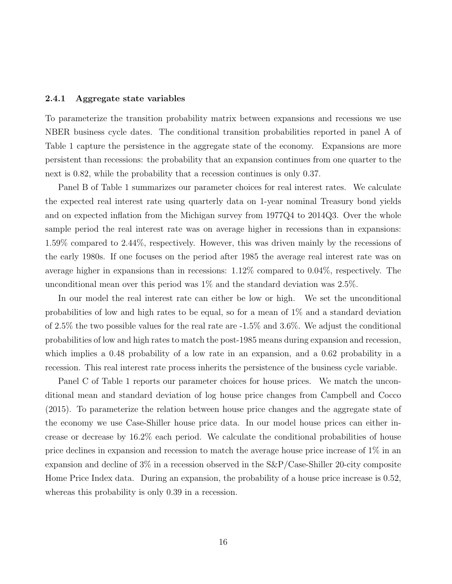#### 2.4.1 Aggregate state variables

To parameterize the transition probability matrix between expansions and recessions we use NBER business cycle dates. The conditional transition probabilities reported in panel A of Table 1 capture the persistence in the aggregate state of the economy. Expansions are more persistent than recessions: the probability that an expansion continues from one quarter to the next is 0.82, while the probability that a recession continues is only 0.37.

Panel B of Table 1 summarizes our parameter choices for real interest rates. We calculate the expected real interest rate using quarterly data on 1-year nominal Treasury bond yields and on expected inflation from the Michigan survey from 1977Q4 to 2014Q3. Over the whole sample period the real interest rate was on average higher in recessions than in expansions: 1.59% compared to 2.44%, respectively. However, this was driven mainly by the recessions of the early 1980s. If one focuses on the period after 1985 the average real interest rate was on average higher in expansions than in recessions: 1.12% compared to 0.04%, respectively. The unconditional mean over this period was 1% and the standard deviation was 2.5%.

In our model the real interest rate can either be low or high. We set the unconditional probabilities of low and high rates to be equal, so for a mean of 1% and a standard deviation of 2.5% the two possible values for the real rate are -1.5% and 3.6%. We adjust the conditional probabilities of low and high rates to match the post-1985 means during expansion and recession, which implies a 0.48 probability of a low rate in an expansion, and a 0.62 probability in a recession. This real interest rate process inherits the persistence of the business cycle variable.

Panel C of Table 1 reports our parameter choices for house prices. We match the unconditional mean and standard deviation of log house price changes from Campbell and Cocco (2015). To parameterize the relation between house price changes and the aggregate state of the economy we use Case-Shiller house price data. In our model house prices can either increase or decrease by 16.2% each period. We calculate the conditional probabilities of house price declines in expansion and recession to match the average house price increase of 1% in an expansion and decline of 3% in a recession observed in the S&P/Case-Shiller 20-city composite Home Price Index data. During an expansion, the probability of a house price increase is 0.52, whereas this probability is only 0.39 in a recession.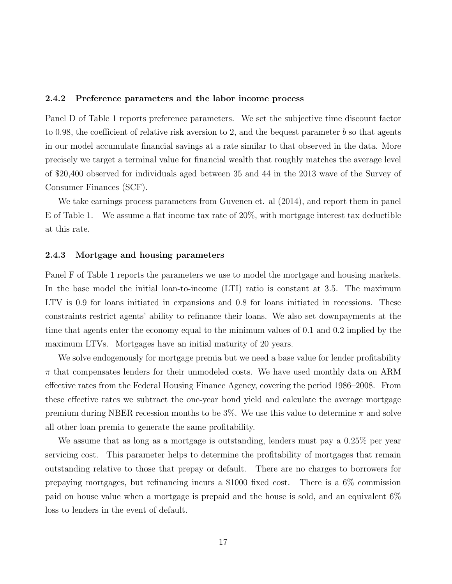### 2.4.2 Preference parameters and the labor income process

Panel D of Table 1 reports preference parameters. We set the subjective time discount factor to 0.98, the coefficient of relative risk aversion to 2, and the bequest parameter b so that agents in our model accumulate financial savings at a rate similar to that observed in the data. More precisely we target a terminal value for financial wealth that roughly matches the average level of \$20,400 observed for individuals aged between 35 and 44 in the 2013 wave of the Survey of Consumer Finances (SCF).

We take earnings process parameters from Guvenen et. al (2014), and report them in panel E of Table 1. We assume a flat income tax rate of  $20\%$ , with mortgage interest tax deductible at this rate.

### 2.4.3 Mortgage and housing parameters

Panel F of Table 1 reports the parameters we use to model the mortgage and housing markets. In the base model the initial loan-to-income (LTI) ratio is constant at 3.5. The maximum LTV is 0.9 for loans initiated in expansions and 0.8 for loans initiated in recessions. These constraints restrict agents' ability to refinance their loans. We also set downpayments at the time that agents enter the economy equal to the minimum values of 0.1 and 0.2 implied by the maximum LTVs. Mortgages have an initial maturity of 20 years.

We solve endogenously for mortgage premia but we need a base value for lender profitability  $\pi$  that compensates lenders for their unmodeled costs. We have used monthly data on ARM effective rates from the Federal Housing Finance Agency, covering the period 1986–2008. From these effective rates we subtract the one-year bond yield and calculate the average mortgage premium during NBER recession months to be 3%. We use this value to determine  $\pi$  and solve all other loan premia to generate the same profitability.

We assume that as long as a mortgage is outstanding, lenders must pay a 0.25% per year servicing cost. This parameter helps to determine the profitability of mortgages that remain outstanding relative to those that prepay or default. There are no charges to borrowers for prepaying mortgages, but refinancing incurs a \$1000 fixed cost. There is a 6% commission paid on house value when a mortgage is prepaid and the house is sold, and an equivalent 6% loss to lenders in the event of default.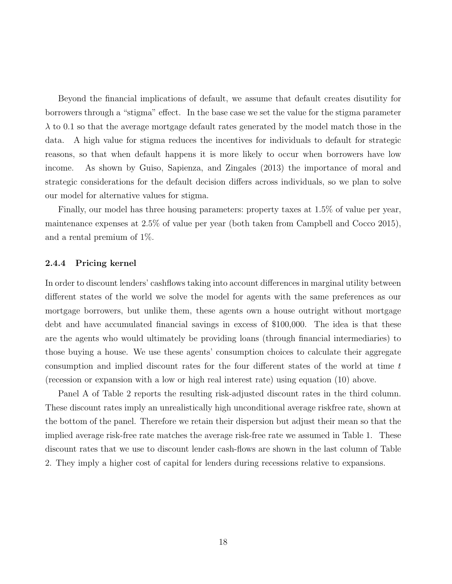Beyond the financial implications of default, we assume that default creates disutility for borrowers through a "stigma" effect. In the base case we set the value for the stigma parameter  $\lambda$  to 0.1 so that the average mortgage default rates generated by the model match those in the data. A high value for stigma reduces the incentives for individuals to default for strategic reasons, so that when default happens it is more likely to occur when borrowers have low income. As shown by Guiso, Sapienza, and Zingales (2013) the importance of moral and strategic considerations for the default decision differs across individuals, so we plan to solve our model for alternative values for stigma.

Finally, our model has three housing parameters: property taxes at 1.5% of value per year, maintenance expenses at 2.5% of value per year (both taken from Campbell and Cocco 2015), and a rental premium of 1%.

### 2.4.4 Pricing kernel

In order to discount lenders' cashflows taking into account differences in marginal utility between different states of the world we solve the model for agents with the same preferences as our mortgage borrowers, but unlike them, these agents own a house outright without mortgage debt and have accumulated financial savings in excess of \$100,000. The idea is that these are the agents who would ultimately be providing loans (through financial intermediaries) to those buying a house. We use these agents' consumption choices to calculate their aggregate consumption and implied discount rates for the four different states of the world at time t (recession or expansion with a low or high real interest rate) using equation (10) above.

Panel A of Table 2 reports the resulting risk-adjusted discount rates in the third column. These discount rates imply an unrealistically high unconditional average riskfree rate, shown at the bottom of the panel. Therefore we retain their dispersion but adjust their mean so that the implied average risk-free rate matches the average risk-free rate we assumed in Table 1. These discount rates that we use to discount lender cash-flows are shown in the last column of Table 2. They imply a higher cost of capital for lenders during recessions relative to expansions.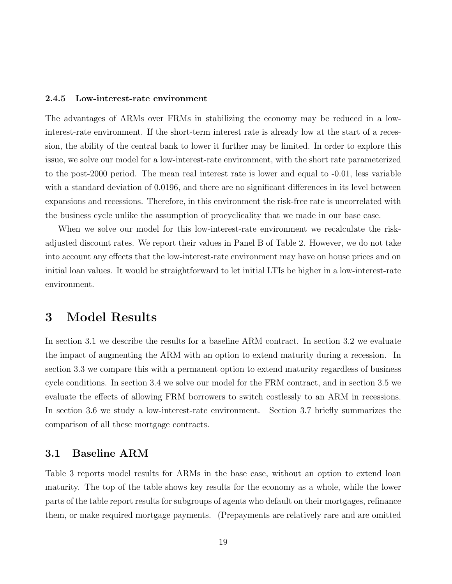### 2.4.5 Low-interest-rate environment

The advantages of ARMs over FRMs in stabilizing the economy may be reduced in a lowinterest-rate environment. If the short-term interest rate is already low at the start of a recession, the ability of the central bank to lower it further may be limited. In order to explore this issue, we solve our model for a low-interest-rate environment, with the short rate parameterized to the post-2000 period. The mean real interest rate is lower and equal to -0.01, less variable with a standard deviation of 0.0196, and there are no significant differences in its level between expansions and recessions. Therefore, in this environment the risk-free rate is uncorrelated with the business cycle unlike the assumption of procyclicality that we made in our base case.

When we solve our model for this low-interest-rate environment we recalculate the riskadjusted discount rates. We report their values in Panel B of Table 2. However, we do not take into account any effects that the low-interest-rate environment may have on house prices and on initial loan values. It would be straightforward to let initial LTIs be higher in a low-interest-rate environment.

## 3 Model Results

In section 3.1 we describe the results for a baseline ARM contract. In section 3.2 we evaluate the impact of augmenting the ARM with an option to extend maturity during a recession. In section 3.3 we compare this with a permanent option to extend maturity regardless of business cycle conditions. In section 3.4 we solve our model for the FRM contract, and in section 3.5 we evaluate the effects of allowing FRM borrowers to switch costlessly to an ARM in recessions. In section 3.6 we study a low-interest-rate environment. Section 3.7 briefly summarizes the comparison of all these mortgage contracts.

### 3.1 Baseline ARM

Table 3 reports model results for ARMs in the base case, without an option to extend loan maturity. The top of the table shows key results for the economy as a whole, while the lower parts of the table report results for subgroups of agents who default on their mortgages, refinance them, or make required mortgage payments. (Prepayments are relatively rare and are omitted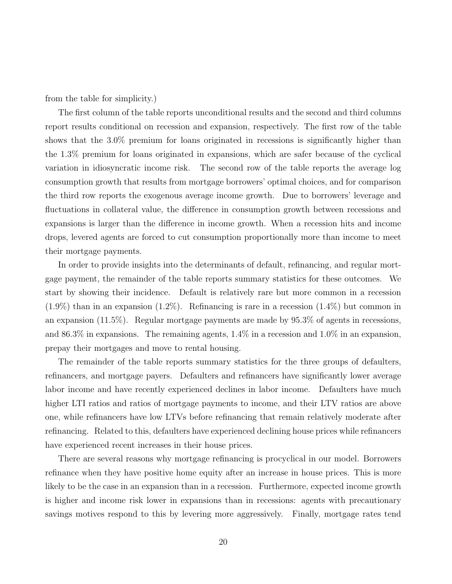from the table for simplicity.)

The first column of the table reports unconditional results and the second and third columns report results conditional on recession and expansion, respectively. The first row of the table shows that the 3.0% premium for loans originated in recessions is significantly higher than the 1.3% premium for loans originated in expansions, which are safer because of the cyclical variation in idiosyncratic income risk. The second row of the table reports the average log consumption growth that results from mortgage borrowers' optimal choices, and for comparison the third row reports the exogenous average income growth. Due to borrowers' leverage and fluctuations in collateral value, the difference in consumption growth between recessions and expansions is larger than the difference in income growth. When a recession hits and income drops, levered agents are forced to cut consumption proportionally more than income to meet their mortgage payments.

In order to provide insights into the determinants of default, refinancing, and regular mortgage payment, the remainder of the table reports summary statistics for these outcomes. We start by showing their incidence. Default is relatively rare but more common in a recession  $(1.9\%)$  than in an expansion  $(1.2\%)$ . Refinancing is rare in a recession  $(1.4\%)$  but common in an expansion (11.5%). Regular mortgage payments are made by 95.3% of agents in recessions, and 86.3% in expansions. The remaining agents, 1.4% in a recession and 1.0% in an expansion, prepay their mortgages and move to rental housing.

The remainder of the table reports summary statistics for the three groups of defaulters, refinancers, and mortgage payers. Defaulters and refinancers have significantly lower average labor income and have recently experienced declines in labor income. Defaulters have much higher LTI ratios and ratios of mortgage payments to income, and their LTV ratios are above one, while refinancers have low LTVs before refinancing that remain relatively moderate after refinancing. Related to this, defaulters have experienced declining house prices while refinancers have experienced recent increases in their house prices.

There are several reasons why mortgage refinancing is procyclical in our model. Borrowers refinance when they have positive home equity after an increase in house prices. This is more likely to be the case in an expansion than in a recession. Furthermore, expected income growth is higher and income risk lower in expansions than in recessions: agents with precautionary savings motives respond to this by levering more aggressively. Finally, mortgage rates tend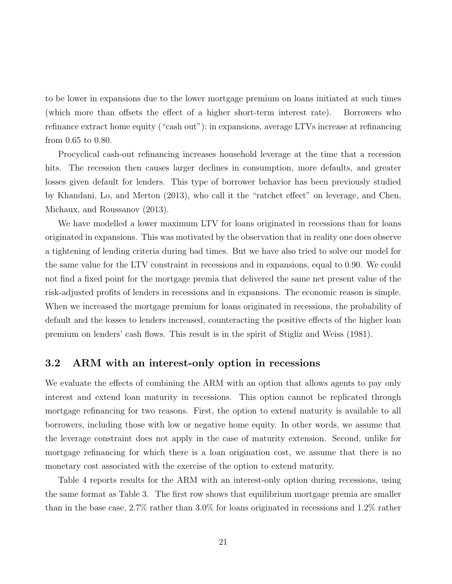to be lower in expansions due to the lower mortgage premium on loans initiated at such times (which more than offsets the effect of a higher short-term interest rate). Borrowers who refinance extract home equity ("cash out"): in expansions, average LTVs increase at refinancing from 0.65 to 0.80.

Procyclical cash-out refinancing increases household leverage at the time that a recession hits. The recession then causes larger declines in consumption, more defaults, and greater losses given default for lenders. This type of borrower behavior has been previously studied by Khandani, Lo, and Merton (2013), who call it the "ratchet effect" on leverage, and Chen, Michaux, and Roussanov (2013).

We have modelled a lower maximum LTV for loans originated in recessions than for loans originated in expansions. This was motivated by the observation that in reality one does observe a tightening of lending criteria during bad times. But we have also tried to solve our model for the same value for the LTV constraint in recessions and in expansions, equal to 0.90. We could not find a fixed point for the mortgage premia that delivered the same net present value of the risk-adjusted profits of lenders in recessions and in expansions. The economic reason is simple. When we increased the mortgage premium for loans originated in recessions, the probability of default and the losses to lenders increased, counteracting the positive effects of the higher loan premium on lenders' cash flows. This result is in the spirit of Stigliz and Weiss (1981).

### 3.2 ARM with an interest-only option in recessions

We evaluate the effects of combining the ARM with an option that allows agents to pay only interest and extend loan maturity in recessions. This option cannot be replicated through mortgage refinancing for two reasons. First, the option to extend maturity is available to all borrowers, including those with low or negative home equity. In other words, we assume that the leverage constraint does not apply in the case of maturity extension. Second, unlike for mortgage refinancing for which there is a loan origination cost, we assume that there is no monetary cost associated with the exercise of the option to extend maturity.

Table 4 reports results for the ARM with an interest-only option during recessions, using the same format as Table 3. The first row shows that equilibrium mortgage premia are smaller than in the base case, 2.7% rather than 3.0% for loans originated in recessions and 1.2% rather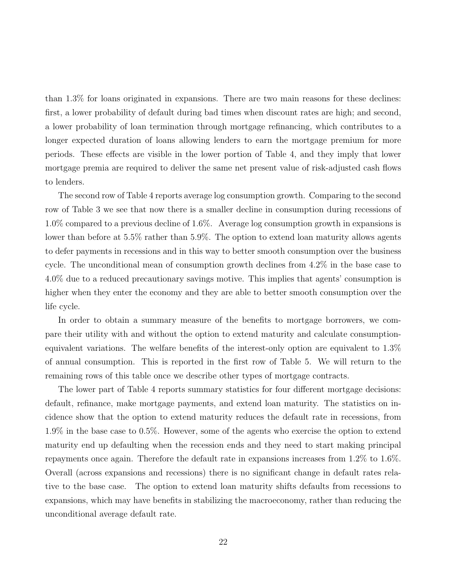than 1.3% for loans originated in expansions. There are two main reasons for these declines: first, a lower probability of default during bad times when discount rates are high; and second, a lower probability of loan termination through mortgage refinancing, which contributes to a longer expected duration of loans allowing lenders to earn the mortgage premium for more periods. These effects are visible in the lower portion of Table 4, and they imply that lower mortgage premia are required to deliver the same net present value of risk-adjusted cash flows to lenders.

The second row of Table 4 reports average log consumption growth. Comparing to the second row of Table 3 we see that now there is a smaller decline in consumption during recessions of 1.0% compared to a previous decline of 1.6%. Average log consumption growth in expansions is lower than before at 5.5% rather than 5.9%. The option to extend loan maturity allows agents to defer payments in recessions and in this way to better smooth consumption over the business cycle. The unconditional mean of consumption growth declines from 4.2% in the base case to 4.0% due to a reduced precautionary savings motive. This implies that agents' consumption is higher when they enter the economy and they are able to better smooth consumption over the life cycle.

In order to obtain a summary measure of the benefits to mortgage borrowers, we compare their utility with and without the option to extend maturity and calculate consumptionequivalent variations. The welfare benefits of the interest-only option are equivalent to 1.3% of annual consumption. This is reported in the first row of Table 5. We will return to the remaining rows of this table once we describe other types of mortgage contracts.

The lower part of Table 4 reports summary statistics for four different mortgage decisions: default, refinance, make mortgage payments, and extend loan maturity. The statistics on incidence show that the option to extend maturity reduces the default rate in recessions, from 1.9% in the base case to 0.5%. However, some of the agents who exercise the option to extend maturity end up defaulting when the recession ends and they need to start making principal repayments once again. Therefore the default rate in expansions increases from 1.2% to 1.6%. Overall (across expansions and recessions) there is no significant change in default rates relative to the base case. The option to extend loan maturity shifts defaults from recessions to expansions, which may have benefits in stabilizing the macroeconomy, rather than reducing the unconditional average default rate.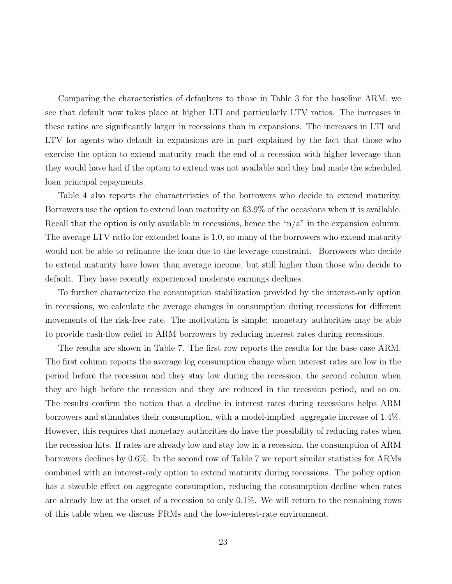Comparing the characteristics of defaulters to those in Table 3 for the baseline ARM, we see that default now takes place at higher LTI and particularly LTV ratios. The increases in these ratios are significantly larger in recessions than in expansions. The increases in LTI and LTV for agents who default in expansions are in part explained by the fact that those who exercise the option to extend maturity reach the end of a recession with higher leverage than they would have had if the option to extend was not available and they had made the scheduled loan principal repayments.

Table 4 also reports the characteristics of the borrowers who decide to extend maturity. Borrowers use the option to extend loan maturity on 63.9% of the occasions when it is available. Recall that the option is only available in recessions, hence the " $n/a$ " in the expansion column. The average LTV ratio for extended loans is 1.0, so many of the borrowers who extend maturity would not be able to refinance the loan due to the leverage constraint. Borrowers who decide to extend maturity have lower than average income, but still higher than those who decide to default. They have recently experienced moderate earnings declines.

To further characterize the consumption stabilization provided by the interest-only option in recessions, we calculate the average changes in consumption during recessions for different movements of the risk-free rate. The motivation is simple: monetary authorities may be able to provide cash-flow relief to ARM borrowers by reducing interest rates during recessions.

The results are shown in Table 7. The first row reports the results for the base case ARM. The first column reports the average log consumption change when interest rates are low in the period before the recession and they stay low during the recession, the second column when they are high before the recession and they are reduced in the recession period, and so on. The results confirm the notion that a decline in interest rates during recessions helps ARM borrowers and stimulates their consumption, with a model-implied aggregate increase of 1.4%. However, this requires that monetary authorities do have the possibility of reducing rates when the recession hits. If rates are already low and stay low in a recession, the consumption of ARM borrowers declines by 0.6%. In the second row of Table 7 we report similar statistics for ARMs combined with an interest-only option to extend maturity during recessions. The policy option has a sizeable effect on aggregate consumption, reducing the consumption decline when rates are already low at the onset of a recession to only 0.1%. We will return to the remaining rows of this table when we discuss FRMs and the low-interest-rate environment.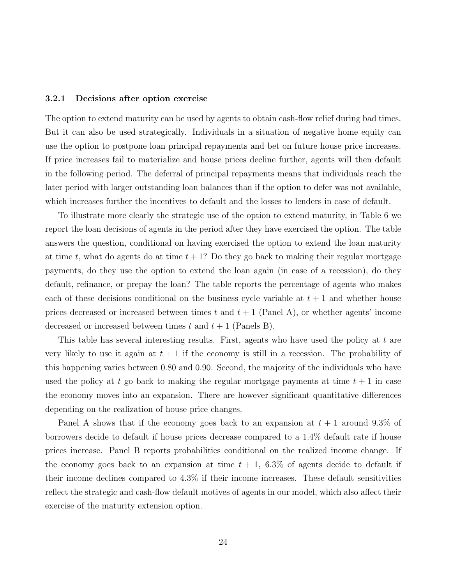#### 3.2.1 Decisions after option exercise

The option to extend maturity can be used by agents to obtain cash-flow relief during bad times. But it can also be used strategically. Individuals in a situation of negative home equity can use the option to postpone loan principal repayments and bet on future house price increases. If price increases fail to materialize and house prices decline further, agents will then default in the following period. The deferral of principal repayments means that individuals reach the later period with larger outstanding loan balances than if the option to defer was not available, which increases further the incentives to default and the losses to lenders in case of default.

To illustrate more clearly the strategic use of the option to extend maturity, in Table 6 we report the loan decisions of agents in the period after they have exercised the option. The table answers the question, conditional on having exercised the option to extend the loan maturity at time t, what do agents do at time  $t + 1$ ? Do they go back to making their regular mortgage payments, do they use the option to extend the loan again (in case of a recession), do they default, refinance, or prepay the loan? The table reports the percentage of agents who makes each of these decisions conditional on the business cycle variable at  $t + 1$  and whether house prices decreased or increased between times t and  $t + 1$  (Panel A), or whether agents' income decreased or increased between times t and  $t+1$  (Panels B).

This table has several interesting results. First, agents who have used the policy at t are very likely to use it again at  $t + 1$  if the economy is still in a recession. The probability of this happening varies between 0.80 and 0.90. Second, the majority of the individuals who have used the policy at t go back to making the regular mortgage payments at time  $t + 1$  in case the economy moves into an expansion. There are however significant quantitative differences depending on the realization of house price changes.

Panel A shows that if the economy goes back to an expansion at  $t + 1$  around 9.3% of borrowers decide to default if house prices decrease compared to a 1.4% default rate if house prices increase. Panel B reports probabilities conditional on the realized income change. If the economy goes back to an expansion at time  $t + 1$ , 6.3% of agents decide to default if their income declines compared to 4.3% if their income increases. These default sensitivities reflect the strategic and cash-flow default motives of agents in our model, which also affect their exercise of the maturity extension option.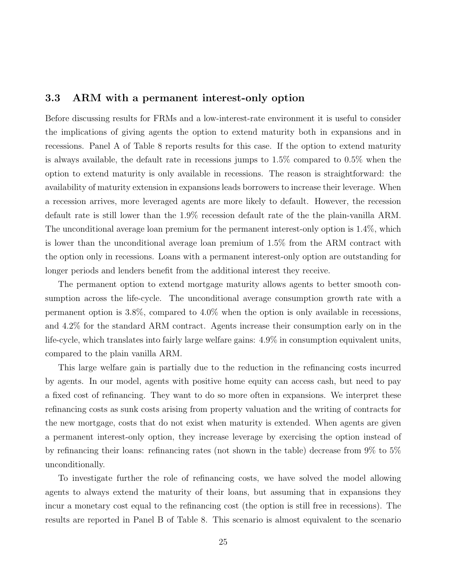### 3.3 ARM with a permanent interest-only option

Before discussing results for FRMs and a low-interest-rate environment it is useful to consider the implications of giving agents the option to extend maturity both in expansions and in recessions. Panel A of Table 8 reports results for this case. If the option to extend maturity is always available, the default rate in recessions jumps to 1.5% compared to 0.5% when the option to extend maturity is only available in recessions. The reason is straightforward: the availability of maturity extension in expansions leads borrowers to increase their leverage. When a recession arrives, more leveraged agents are more likely to default. However, the recession default rate is still lower than the 1.9% recession default rate of the the plain-vanilla ARM. The unconditional average loan premium for the permanent interest-only option is 1.4%, which is lower than the unconditional average loan premium of 1.5% from the ARM contract with the option only in recessions. Loans with a permanent interest-only option are outstanding for longer periods and lenders benefit from the additional interest they receive.

The permanent option to extend mortgage maturity allows agents to better smooth consumption across the life-cycle. The unconditional average consumption growth rate with a permanent option is 3.8%, compared to 4.0% when the option is only available in recessions, and 4.2% for the standard ARM contract. Agents increase their consumption early on in the life-cycle, which translates into fairly large welfare gains: 4.9% in consumption equivalent units, compared to the plain vanilla ARM.

This large welfare gain is partially due to the reduction in the refinancing costs incurred by agents. In our model, agents with positive home equity can access cash, but need to pay a fixed cost of refinancing. They want to do so more often in expansions. We interpret these refinancing costs as sunk costs arising from property valuation and the writing of contracts for the new mortgage, costs that do not exist when maturity is extended. When agents are given a permanent interest-only option, they increase leverage by exercising the option instead of by refinancing their loans: refinancing rates (not shown in the table) decrease from 9% to 5% unconditionally.

To investigate further the role of refinancing costs, we have solved the model allowing agents to always extend the maturity of their loans, but assuming that in expansions they incur a monetary cost equal to the refinancing cost (the option is still free in recessions). The results are reported in Panel B of Table 8. This scenario is almost equivalent to the scenario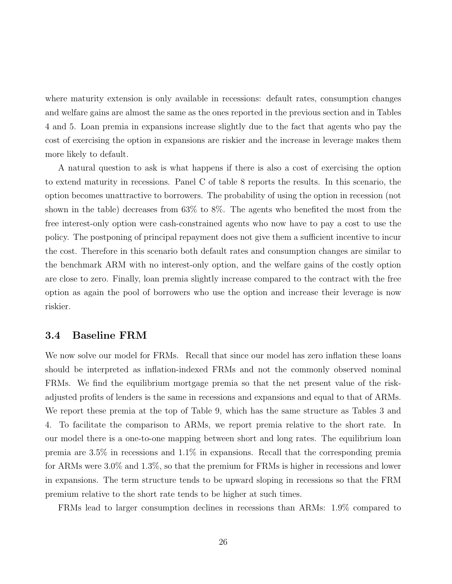where maturity extension is only available in recessions: default rates, consumption changes and welfare gains are almost the same as the ones reported in the previous section and in Tables 4 and 5. Loan premia in expansions increase slightly due to the fact that agents who pay the cost of exercising the option in expansions are riskier and the increase in leverage makes them more likely to default.

A natural question to ask is what happens if there is also a cost of exercising the option to extend maturity in recessions. Panel C of table 8 reports the results. In this scenario, the option becomes unattractive to borrowers. The probability of using the option in recession (not shown in the table) decreases from 63% to 8%. The agents who benefited the most from the free interest-only option were cash-constrained agents who now have to pay a cost to use the policy. The postponing of principal repayment does not give them a sufficient incentive to incur the cost. Therefore in this scenario both default rates and consumption changes are similar to the benchmark ARM with no interest-only option, and the welfare gains of the costly option are close to zero. Finally, loan premia slightly increase compared to the contract with the free option as again the pool of borrowers who use the option and increase their leverage is now riskier.

### 3.4 Baseline FRM

We now solve our model for FRMs. Recall that since our model has zero inflation these loans should be interpreted as inflation-indexed FRMs and not the commonly observed nominal FRMs. We find the equilibrium mortgage premia so that the net present value of the riskadjusted profits of lenders is the same in recessions and expansions and equal to that of ARMs. We report these premia at the top of Table 9, which has the same structure as Tables 3 and 4. To facilitate the comparison to ARMs, we report premia relative to the short rate. In our model there is a one-to-one mapping between short and long rates. The equilibrium loan premia are 3.5% in recessions and 1.1% in expansions. Recall that the corresponding premia for ARMs were 3.0% and 1.3%, so that the premium for FRMs is higher in recessions and lower in expansions. The term structure tends to be upward sloping in recessions so that the FRM premium relative to the short rate tends to be higher at such times.

FRMs lead to larger consumption declines in recessions than ARMs: 1.9% compared to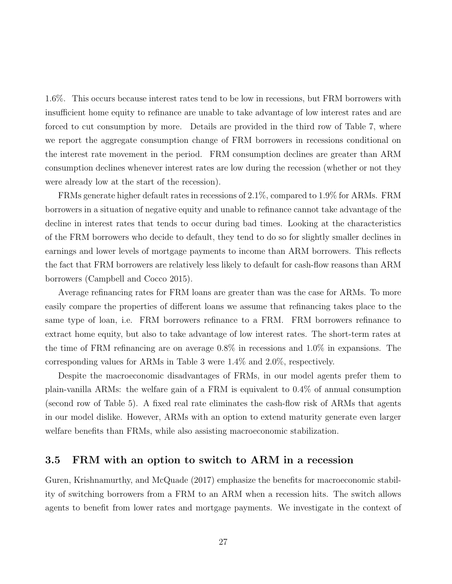1.6%. This occurs because interest rates tend to be low in recessions, but FRM borrowers with insufficient home equity to refinance are unable to take advantage of low interest rates and are forced to cut consumption by more. Details are provided in the third row of Table 7, where we report the aggregate consumption change of FRM borrowers in recessions conditional on the interest rate movement in the period. FRM consumption declines are greater than ARM consumption declines whenever interest rates are low during the recession (whether or not they were already low at the start of the recession).

FRMs generate higher default rates in recessions of 2.1%, compared to 1.9% for ARMs. FRM borrowers in a situation of negative equity and unable to refinance cannot take advantage of the decline in interest rates that tends to occur during bad times. Looking at the characteristics of the FRM borrowers who decide to default, they tend to do so for slightly smaller declines in earnings and lower levels of mortgage payments to income than ARM borrowers. This reflects the fact that FRM borrowers are relatively less likely to default for cash-flow reasons than ARM borrowers (Campbell and Cocco 2015).

Average refinancing rates for FRM loans are greater than was the case for ARMs. To more easily compare the properties of different loans we assume that refinancing takes place to the same type of loan, i.e. FRM borrowers refinance to a FRM. FRM borrowers refinance to extract home equity, but also to take advantage of low interest rates. The short-term rates at the time of FRM refinancing are on average 0.8% in recessions and 1.0% in expansions. The corresponding values for ARMs in Table 3 were 1.4% and 2.0%, respectively.

Despite the macroeconomic disadvantages of FRMs, in our model agents prefer them to plain-vanilla ARMs: the welfare gain of a FRM is equivalent to 0.4% of annual consumption (second row of Table 5). A fixed real rate eliminates the cash-flow risk of ARMs that agents in our model dislike. However, ARMs with an option to extend maturity generate even larger welfare benefits than FRMs, while also assisting macroeconomic stabilization.

### 3.5 FRM with an option to switch to ARM in a recession

Guren, Krishnamurthy, and McQuade (2017) emphasize the benefits for macroeconomic stability of switching borrowers from a FRM to an ARM when a recession hits. The switch allows agents to benefit from lower rates and mortgage payments. We investigate in the context of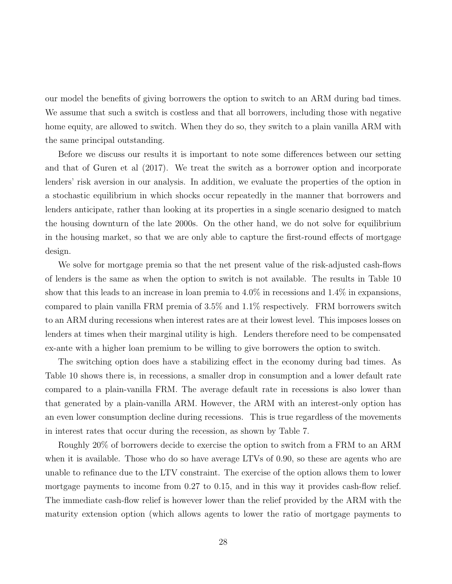our model the benefits of giving borrowers the option to switch to an ARM during bad times. We assume that such a switch is costless and that all borrowers, including those with negative home equity, are allowed to switch. When they do so, they switch to a plain vanilla ARM with the same principal outstanding.

Before we discuss our results it is important to note some differences between our setting and that of Guren et al (2017). We treat the switch as a borrower option and incorporate lenders' risk aversion in our analysis. In addition, we evaluate the properties of the option in a stochastic equilibrium in which shocks occur repeatedly in the manner that borrowers and lenders anticipate, rather than looking at its properties in a single scenario designed to match the housing downturn of the late 2000s. On the other hand, we do not solve for equilibrium in the housing market, so that we are only able to capture the first-round effects of mortgage design.

We solve for mortgage premia so that the net present value of the risk-adjusted cash-flows of lenders is the same as when the option to switch is not available. The results in Table 10 show that this leads to an increase in loan premia to 4.0% in recessions and 1.4% in expansions, compared to plain vanilla FRM premia of 3.5% and 1.1% respectively. FRM borrowers switch to an ARM during recessions when interest rates are at their lowest level. This imposes losses on lenders at times when their marginal utility is high. Lenders therefore need to be compensated ex-ante with a higher loan premium to be willing to give borrowers the option to switch.

The switching option does have a stabilizing effect in the economy during bad times. As Table 10 shows there is, in recessions, a smaller drop in consumption and a lower default rate compared to a plain-vanilla FRM. The average default rate in recessions is also lower than that generated by a plain-vanilla ARM. However, the ARM with an interest-only option has an even lower consumption decline during recessions. This is true regardless of the movements in interest rates that occur during the recession, as shown by Table 7.

Roughly 20% of borrowers decide to exercise the option to switch from a FRM to an ARM when it is available. Those who do so have average LTVs of 0.90, so these are agents who are unable to refinance due to the LTV constraint. The exercise of the option allows them to lower mortgage payments to income from 0.27 to 0.15, and in this way it provides cash-flow relief. The immediate cash-flow relief is however lower than the relief provided by the ARM with the maturity extension option (which allows agents to lower the ratio of mortgage payments to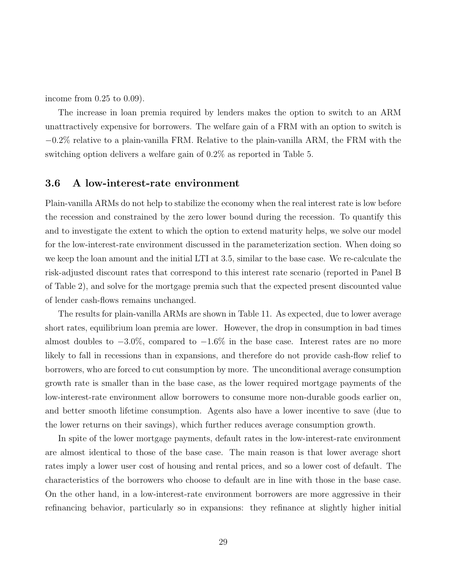income from 0.25 to 0.09).

The increase in loan premia required by lenders makes the option to switch to an ARM unattractively expensive for borrowers. The welfare gain of a FRM with an option to switch is −0.2% relative to a plain-vanilla FRM. Relative to the plain-vanilla ARM, the FRM with the switching option delivers a welfare gain of 0.2% as reported in Table 5.

### 3.6 A low-interest-rate environment

Plain-vanilla ARMs do not help to stabilize the economy when the real interest rate is low before the recession and constrained by the zero lower bound during the recession. To quantify this and to investigate the extent to which the option to extend maturity helps, we solve our model for the low-interest-rate environment discussed in the parameterization section. When doing so we keep the loan amount and the initial LTI at 3.5, similar to the base case. We re-calculate the risk-adjusted discount rates that correspond to this interest rate scenario (reported in Panel B of Table 2), and solve for the mortgage premia such that the expected present discounted value of lender cash-flows remains unchanged.

The results for plain-vanilla ARMs are shown in Table 11. As expected, due to lower average short rates, equilibrium loan premia are lower. However, the drop in consumption in bad times almost doubles to  $-3.0\%$ , compared to  $-1.6\%$  in the base case. Interest rates are no more likely to fall in recessions than in expansions, and therefore do not provide cash-flow relief to borrowers, who are forced to cut consumption by more. The unconditional average consumption growth rate is smaller than in the base case, as the lower required mortgage payments of the low-interest-rate environment allow borrowers to consume more non-durable goods earlier on, and better smooth lifetime consumption. Agents also have a lower incentive to save (due to the lower returns on their savings), which further reduces average consumption growth.

In spite of the lower mortgage payments, default rates in the low-interest-rate environment are almost identical to those of the base case. The main reason is that lower average short rates imply a lower user cost of housing and rental prices, and so a lower cost of default. The characteristics of the borrowers who choose to default are in line with those in the base case. On the other hand, in a low-interest-rate environment borrowers are more aggressive in their refinancing behavior, particularly so in expansions: they refinance at slightly higher initial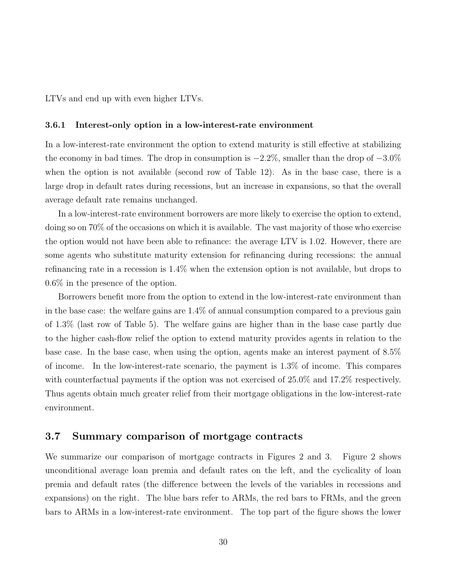LTVs and end up with even higher LTVs.

#### 3.6.1 Interest-only option in a low-interest-rate environment

In a low-interest-rate environment the option to extend maturity is still effective at stabilizing the economy in bad times. The drop in consumption is  $-2.2\%$ , smaller than the drop of  $-3.0\%$ when the option is not available (second row of Table 12). As in the base case, there is a large drop in default rates during recessions, but an increase in expansions, so that the overall average default rate remains unchanged.

In a low-interest-rate environment borrowers are more likely to exercise the option to extend, doing so on 70% of the occasions on which it is available. The vast majority of those who exercise the option would not have been able to refinance: the average LTV is 1.02. However, there are some agents who substitute maturity extension for refinancing during recessions: the annual refinancing rate in a recession is 1.4% when the extension option is not available, but drops to 0.6% in the presence of the option.

Borrowers benefit more from the option to extend in the low-interest-rate environment than in the base case: the welfare gains are 1.4% of annual consumption compared to a previous gain of 1.3% (last row of Table 5). The welfare gains are higher than in the base case partly due to the higher cash-flow relief the option to extend maturity provides agents in relation to the base case. In the base case, when using the option, agents make an interest payment of 8.5% of income. In the low-interest-rate scenario, the payment is 1.3% of income. This compares with counterfactual payments if the option was not exercised of  $25.0\%$  and  $17.2\%$  respectively. Thus agents obtain much greater relief from their mortgage obligations in the low-interest-rate environment.

### 3.7 Summary comparison of mortgage contracts

We summarize our comparison of mortgage contracts in Figures 2 and 3. Figure 2 shows unconditional average loan premia and default rates on the left, and the cyclicality of loan premia and default rates (the difference between the levels of the variables in recessions and expansions) on the right. The blue bars refer to ARMs, the red bars to FRMs, and the green bars to ARMs in a low-interest-rate environment. The top part of the figure shows the lower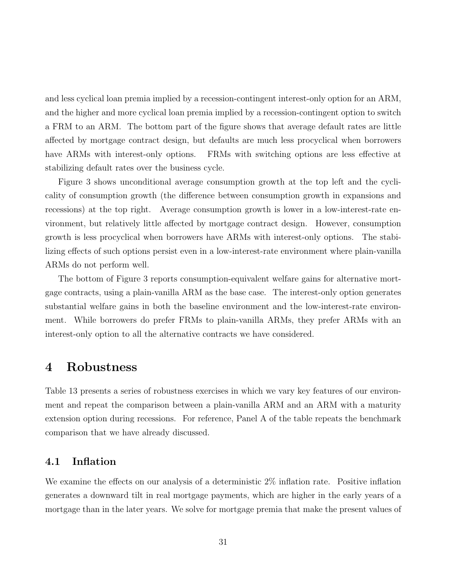and less cyclical loan premia implied by a recession-contingent interest-only option for an ARM, and the higher and more cyclical loan premia implied by a recession-contingent option to switch a FRM to an ARM. The bottom part of the figure shows that average default rates are little affected by mortgage contract design, but defaults are much less procyclical when borrowers have ARMs with interest-only options. FRMs with switching options are less effective at stabilizing default rates over the business cycle.

Figure 3 shows unconditional average consumption growth at the top left and the cyclicality of consumption growth (the difference between consumption growth in expansions and recessions) at the top right. Average consumption growth is lower in a low-interest-rate environment, but relatively little affected by mortgage contract design. However, consumption growth is less procyclical when borrowers have ARMs with interest-only options. The stabilizing effects of such options persist even in a low-interest-rate environment where plain-vanilla ARMs do not perform well.

The bottom of Figure 3 reports consumption-equivalent welfare gains for alternative mortgage contracts, using a plain-vanilla ARM as the base case. The interest-only option generates substantial welfare gains in both the baseline environment and the low-interest-rate environment. While borrowers do prefer FRMs to plain-vanilla ARMs, they prefer ARMs with an interest-only option to all the alternative contracts we have considered.

## 4 Robustness

Table 13 presents a series of robustness exercises in which we vary key features of our environment and repeat the comparison between a plain-vanilla ARM and an ARM with a maturity extension option during recessions. For reference, Panel A of the table repeats the benchmark comparison that we have already discussed.

### 4.1 Inflation

We examine the effects on our analysis of a deterministic  $2\%$  inflation rate. Positive inflation generates a downward tilt in real mortgage payments, which are higher in the early years of a mortgage than in the later years. We solve for mortgage premia that make the present values of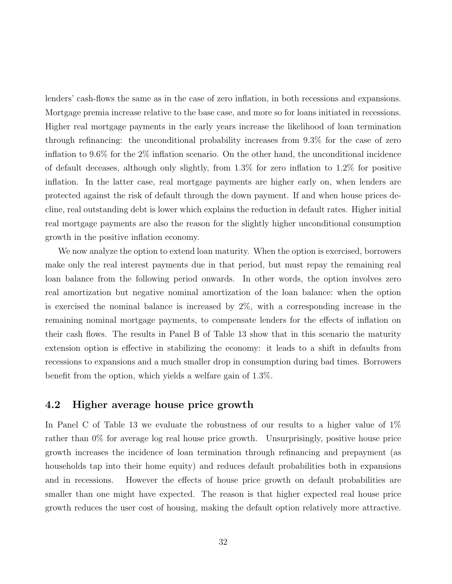lenders' cash-flows the same as in the case of zero inflation, in both recessions and expansions. Mortgage premia increase relative to the base case, and more so for loans initiated in recessions. Higher real mortgage payments in the early years increase the likelihood of loan termination through refinancing: the unconditional probability increases from 9.3% for the case of zero inflation to 9.6% for the 2% inflation scenario. On the other hand, the unconditional incidence of default deceases, although only slightly, from 1.3% for zero inflation to 1.2% for positive inflation. In the latter case, real mortgage payments are higher early on, when lenders are protected against the risk of default through the down payment. If and when house prices decline, real outstanding debt is lower which explains the reduction in default rates. Higher initial real mortgage payments are also the reason for the slightly higher unconditional consumption growth in the positive inflation economy.

We now analyze the option to extend loan maturity. When the option is exercised, borrowers make only the real interest payments due in that period, but must repay the remaining real loan balance from the following period onwards. In other words, the option involves zero real amortization but negative nominal amortization of the loan balance: when the option is exercised the nominal balance is increased by 2%, with a corresponding increase in the remaining nominal mortgage payments, to compensate lenders for the effects of inflation on their cash flows. The results in Panel B of Table 13 show that in this scenario the maturity extension option is effective in stabilizing the economy: it leads to a shift in defaults from recessions to expansions and a much smaller drop in consumption during bad times. Borrowers benefit from the option, which yields a welfare gain of 1.3%.

### 4.2 Higher average house price growth

In Panel C of Table 13 we evaluate the robustness of our results to a higher value of  $1\%$ rather than 0% for average log real house price growth. Unsurprisingly, positive house price growth increases the incidence of loan termination through refinancing and prepayment (as households tap into their home equity) and reduces default probabilities both in expansions and in recessions. However the effects of house price growth on default probabilities are smaller than one might have expected. The reason is that higher expected real house price growth reduces the user cost of housing, making the default option relatively more attractive.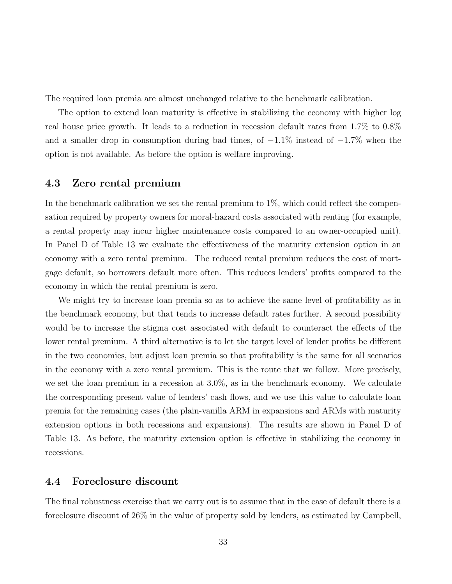The required loan premia are almost unchanged relative to the benchmark calibration.

The option to extend loan maturity is effective in stabilizing the economy with higher log real house price growth. It leads to a reduction in recession default rates from 1.7% to 0.8% and a smaller drop in consumption during bad times, of  $-1.1\%$  instead of  $-1.7\%$  when the option is not available. As before the option is welfare improving.

### 4.3 Zero rental premium

In the benchmark calibration we set the rental premium to 1%, which could reflect the compensation required by property owners for moral-hazard costs associated with renting (for example, a rental property may incur higher maintenance costs compared to an owner-occupied unit). In Panel D of Table 13 we evaluate the effectiveness of the maturity extension option in an economy with a zero rental premium. The reduced rental premium reduces the cost of mortgage default, so borrowers default more often. This reduces lenders' profits compared to the economy in which the rental premium is zero.

We might try to increase loan premia so as to achieve the same level of profitability as in the benchmark economy, but that tends to increase default rates further. A second possibility would be to increase the stigma cost associated with default to counteract the effects of the lower rental premium. A third alternative is to let the target level of lender profits be different in the two economies, but adjust loan premia so that profitability is the same for all scenarios in the economy with a zero rental premium. This is the route that we follow. More precisely, we set the loan premium in a recession at 3.0%, as in the benchmark economy. We calculate the corresponding present value of lenders' cash flows, and we use this value to calculate loan premia for the remaining cases (the plain-vanilla ARM in expansions and ARMs with maturity extension options in both recessions and expansions). The results are shown in Panel D of Table 13. As before, the maturity extension option is effective in stabilizing the economy in recessions.

### 4.4 Foreclosure discount

The final robustness exercise that we carry out is to assume that in the case of default there is a foreclosure discount of 26% in the value of property sold by lenders, as estimated by Campbell,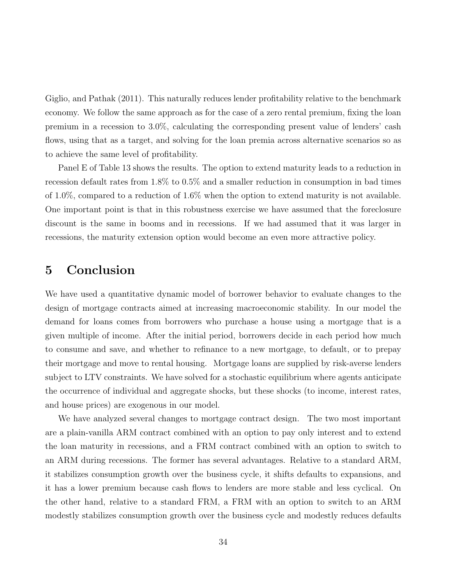Giglio, and Pathak (2011). This naturally reduces lender profitability relative to the benchmark economy. We follow the same approach as for the case of a zero rental premium, fixing the loan premium in a recession to 3.0%, calculating the corresponding present value of lenders' cash flows, using that as a target, and solving for the loan premia across alternative scenarios so as to achieve the same level of profitability.

Panel E of Table 13 shows the results. The option to extend maturity leads to a reduction in recession default rates from 1.8% to 0.5% and a smaller reduction in consumption in bad times of 1.0%, compared to a reduction of 1.6% when the option to extend maturity is not available. One important point is that in this robustness exercise we have assumed that the foreclosure discount is the same in booms and in recessions. If we had assumed that it was larger in recessions, the maturity extension option would become an even more attractive policy.

## 5 Conclusion

We have used a quantitative dynamic model of borrower behavior to evaluate changes to the design of mortgage contracts aimed at increasing macroeconomic stability. In our model the demand for loans comes from borrowers who purchase a house using a mortgage that is a given multiple of income. After the initial period, borrowers decide in each period how much to consume and save, and whether to refinance to a new mortgage, to default, or to prepay their mortgage and move to rental housing. Mortgage loans are supplied by risk-averse lenders subject to LTV constraints. We have solved for a stochastic equilibrium where agents anticipate the occurrence of individual and aggregate shocks, but these shocks (to income, interest rates, and house prices) are exogenous in our model.

We have analyzed several changes to mortgage contract design. The two most important are a plain-vanilla ARM contract combined with an option to pay only interest and to extend the loan maturity in recessions, and a FRM contract combined with an option to switch to an ARM during recessions. The former has several advantages. Relative to a standard ARM, it stabilizes consumption growth over the business cycle, it shifts defaults to expansions, and it has a lower premium because cash flows to lenders are more stable and less cyclical. On the other hand, relative to a standard FRM, a FRM with an option to switch to an ARM modestly stabilizes consumption growth over the business cycle and modestly reduces defaults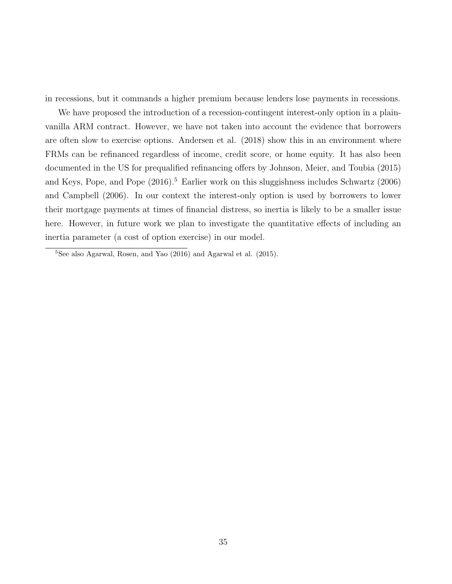in recessions, but it commands a higher premium because lenders lose payments in recessions.

We have proposed the introduction of a recession-contingent interest-only option in a plainvanilla ARM contract. However, we have not taken into account the evidence that borrowers are often slow to exercise options. Andersen et al. (2018) show this in an environment where FRMs can be refinanced regardless of income, credit score, or home equity. It has also been documented in the US for prequalified refinancing offers by Johnson, Meier, and Toubia (2015) and Keys, Pope, and Pope  $(2016).<sup>5</sup>$  Earlier work on this sluggishness includes Schwartz  $(2006)$ and Campbell (2006). In our context the interest-only option is used by borrowers to lower their mortgage payments at times of financial distress, so inertia is likely to be a smaller issue here. However, in future work we plan to investigate the quantitative effects of including an inertia parameter (a cost of option exercise) in our model.

<sup>5</sup>See also Agarwal, Rosen, and Yao (2016) and Agarwal et al. (2015).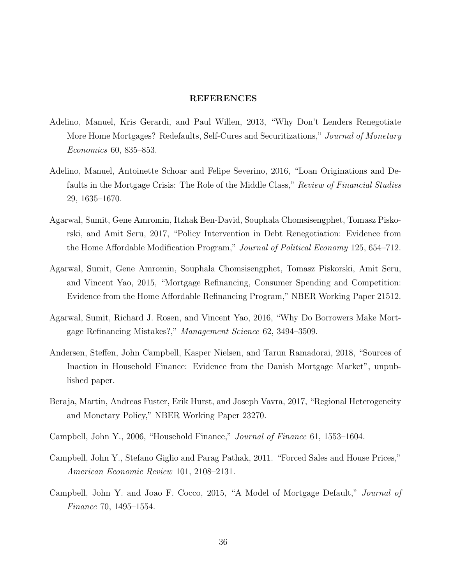### REFERENCES

- Adelino, Manuel, Kris Gerardi, and Paul Willen, 2013, "Why Don't Lenders Renegotiate More Home Mortgages? Redefaults, Self-Cures and Securitizations," Journal of Monetary Economics 60, 835–853.
- Adelino, Manuel, Antoinette Schoar and Felipe Severino, 2016, "Loan Originations and Defaults in the Mortgage Crisis: The Role of the Middle Class," Review of Financial Studies 29, 1635–1670.
- Agarwal, Sumit, Gene Amromin, Itzhak Ben-David, Souphala Chomsisengphet, Tomasz Piskorski, and Amit Seru, 2017, "Policy Intervention in Debt Renegotiation: Evidence from the Home Affordable Modification Program," Journal of Political Economy 125, 654–712.
- Agarwal, Sumit, Gene Amromin, Souphala Chomsisengphet, Tomasz Piskorski, Amit Seru, and Vincent Yao, 2015, "Mortgage Refinancing, Consumer Spending and Competition: Evidence from the Home Affordable Refinancing Program," NBER Working Paper 21512.
- Agarwal, Sumit, Richard J. Rosen, and Vincent Yao, 2016, "Why Do Borrowers Make Mortgage Refinancing Mistakes?," Management Science 62, 3494–3509.
- Andersen, Steffen, John Campbell, Kasper Nielsen, and Tarun Ramadorai, 2018, "Sources of Inaction in Household Finance: Evidence from the Danish Mortgage Market", unpublished paper.
- Beraja, Martin, Andreas Fuster, Erik Hurst, and Joseph Vavra, 2017, "Regional Heterogeneity and Monetary Policy," NBER Working Paper 23270.
- Campbell, John Y., 2006, "Household Finance," Journal of Finance 61, 1553–1604.
- Campbell, John Y., Stefano Giglio and Parag Pathak, 2011. "Forced Sales and House Prices," American Economic Review 101, 2108–2131.
- Campbell, John Y. and Joao F. Cocco, 2015, "A Model of Mortgage Default," Journal of Finance 70, 1495–1554.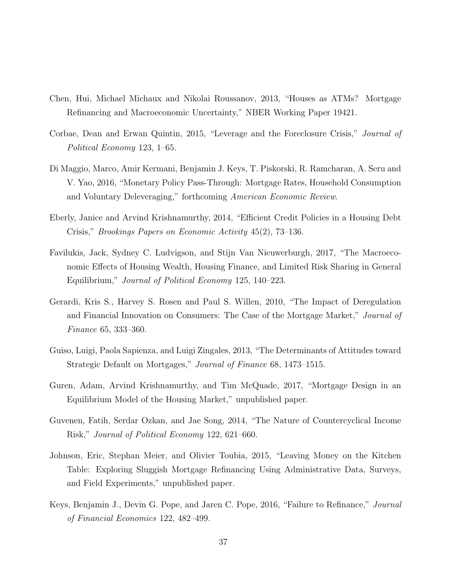- Chen, Hui, Michael Michaux and Nikolai Roussanov, 2013, "Houses as ATMs? Mortgage Refinancing and Macroeconomic Uncertainty," NBER Working Paper 19421.
- Corbae, Dean and Erwan Quintin, 2015, "Leverage and the Foreclosure Crisis," Journal of Political Economy 123, 1–65.
- Di Maggio, Marco, Amir Kermani, Benjamin J. Keys, T. Piskorski, R. Ramcharan, A. Seru and V. Yao, 2016, "Monetary Policy Pass-Through: Mortgage Rates, Household Consumption and Voluntary Deleveraging," forthcoming American Economic Review.
- Eberly, Janice and Arvind Krishnamurthy, 2014, "Efficient Credit Policies in a Housing Debt Crisis," Brookings Papers on Economic Activity 45(2), 73–136.
- Favilukis, Jack, Sydney C. Ludvigson, and Stijn Van Nieuwerburgh, 2017, "The Macroeconomic Effects of Housing Wealth, Housing Finance, and Limited Risk Sharing in General Equilibrium," Journal of Political Economy 125, 140–223.
- Gerardi, Kris S., Harvey S. Rosen and Paul S. Willen, 2010, "The Impact of Deregulation and Financial Innovation on Consumers: The Case of the Mortgage Market," Journal of Finance 65, 333–360.
- Guiso, Luigi, Paola Sapienza, and Luigi Zingales, 2013, "The Determinants of Attitudes toward Strategic Default on Mortgages," Journal of Finance 68, 1473–1515.
- Guren, Adam, Arvind Krishnamurthy, and Tim McQuade, 2017, "Mortgage Design in an Equilibrium Model of the Housing Market," unpublished paper.
- Guvenen, Fatih, Serdar Ozkan, and Jae Song, 2014, "The Nature of Countercyclical Income Risk," Journal of Political Economy 122, 621–660.
- Johnson, Eric, Stephan Meier, and Olivier Toubia, 2015, "Leaving Money on the Kitchen Table: Exploring Sluggish Mortgage Refinancing Using Administrative Data, Surveys, and Field Experiments," unpublished paper.
- Keys, Benjamin J., Devin G. Pope, and Jaren C. Pope, 2016, "Failure to Refinance," Journal of Financial Economics 122, 482–499.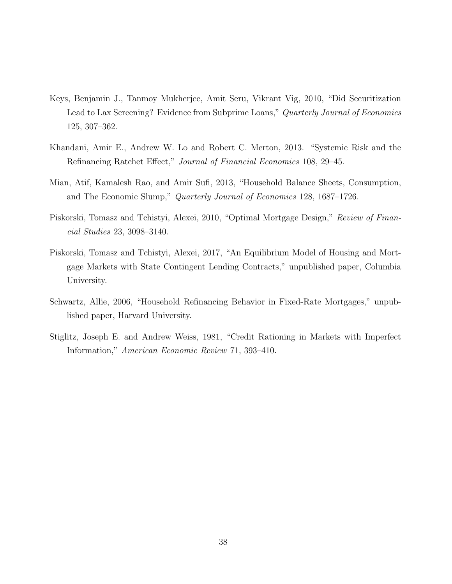- Keys, Benjamin J., Tanmoy Mukherjee, Amit Seru, Vikrant Vig, 2010, "Did Securitization Lead to Lax Screening? Evidence from Subprime Loans," Quarterly Journal of Economics 125, 307–362.
- Khandani, Amir E., Andrew W. Lo and Robert C. Merton, 2013. "Systemic Risk and the Refinancing Ratchet Effect," Journal of Financial Economics 108, 29–45.
- Mian, Atif, Kamalesh Rao, and Amir Sufi, 2013, "Household Balance Sheets, Consumption, and The Economic Slump," Quarterly Journal of Economics 128, 1687–1726.
- Piskorski, Tomasz and Tchistyi, Alexei, 2010, "Optimal Mortgage Design," Review of Financial Studies 23, 3098–3140.
- Piskorski, Tomasz and Tchistyi, Alexei, 2017, "An Equilibrium Model of Housing and Mortgage Markets with State Contingent Lending Contracts," unpublished paper, Columbia University.
- Schwartz, Allie, 2006, "Household Refinancing Behavior in Fixed-Rate Mortgages," unpublished paper, Harvard University.
- Stiglitz, Joseph E. and Andrew Weiss, 1981, "Credit Rationing in Markets with Imperfect Information," American Economic Review 71, 393–410.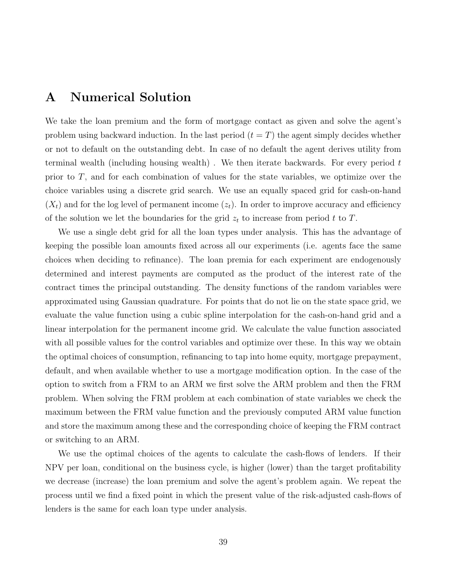## A Numerical Solution

We take the loan premium and the form of mortgage contact as given and solve the agent's problem using backward induction. In the last period  $(t = T)$  the agent simply decides whether or not to default on the outstanding debt. In case of no default the agent derives utility from terminal wealth (including housing wealth) . We then iterate backwards. For every period t prior to T, and for each combination of values for the state variables, we optimize over the choice variables using a discrete grid search. We use an equally spaced grid for cash-on-hand  $(X_t)$  and for the log level of permanent income  $(z_t)$ . In order to improve accuracy and efficiency of the solution we let the boundaries for the grid  $z_t$  to increase from period t to T.

We use a single debt grid for all the loan types under analysis. This has the advantage of keeping the possible loan amounts fixed across all our experiments (i.e. agents face the same choices when deciding to refinance). The loan premia for each experiment are endogenously determined and interest payments are computed as the product of the interest rate of the contract times the principal outstanding. The density functions of the random variables were approximated using Gaussian quadrature. For points that do not lie on the state space grid, we evaluate the value function using a cubic spline interpolation for the cash-on-hand grid and a linear interpolation for the permanent income grid. We calculate the value function associated with all possible values for the control variables and optimize over these. In this way we obtain the optimal choices of consumption, refinancing to tap into home equity, mortgage prepayment, default, and when available whether to use a mortgage modification option. In the case of the option to switch from a FRM to an ARM we first solve the ARM problem and then the FRM problem. When solving the FRM problem at each combination of state variables we check the maximum between the FRM value function and the previously computed ARM value function and store the maximum among these and the corresponding choice of keeping the FRM contract or switching to an ARM.

We use the optimal choices of the agents to calculate the cash-flows of lenders. If their NPV per loan, conditional on the business cycle, is higher (lower) than the target profitability we decrease (increase) the loan premium and solve the agent's problem again. We repeat the process until we find a fixed point in which the present value of the risk-adjusted cash-flows of lenders is the same for each loan type under analysis.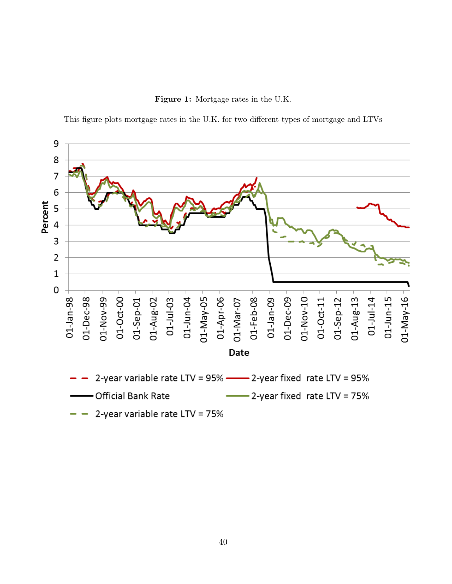

This figure plots mortgage rates in the U.K. for two different types of mortgage and LTVs



2-year variable rate LTV = 75%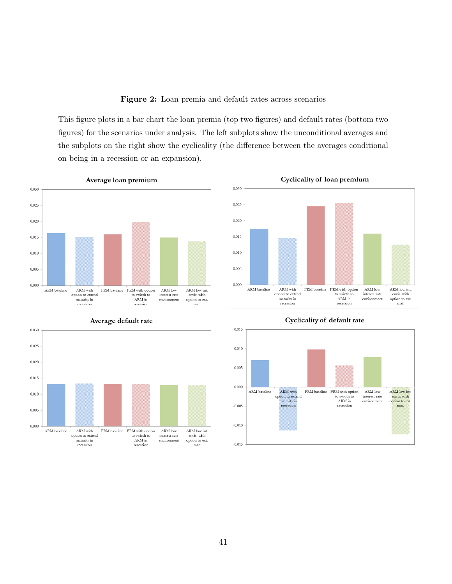Figure 2: Loan premia and default rates across scenarios

This figure plots in a bar chart the loan premia (top two figures) and default rates (bottom two figures) for the scenarios under analysis. The left subplots show the unconditional averages and the subplots on the right show the cyclicality (the difference between the averages conditional on being in a recession or an expansion).





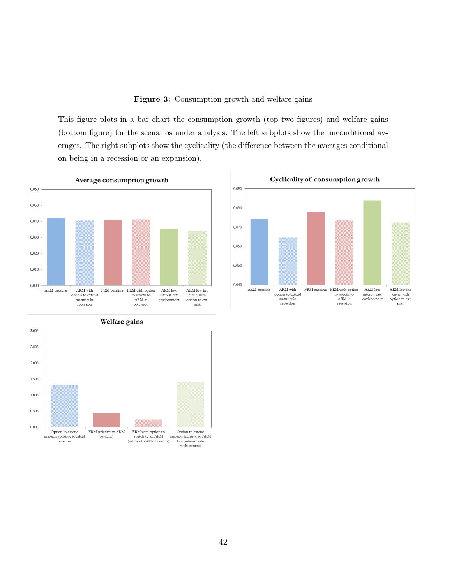Figure 3: Consumption growth and welfare gains

This figure plots in a bar chart the consumption growth (top two figures) and welfare gains (bottom figure) for the scenarios under analysis. The left subplots show the unconditional averages. The right subplots show the cyclicality (the difference between the averages conditional on being in a recession or an expansion).







#### Cyclicality of consumption growth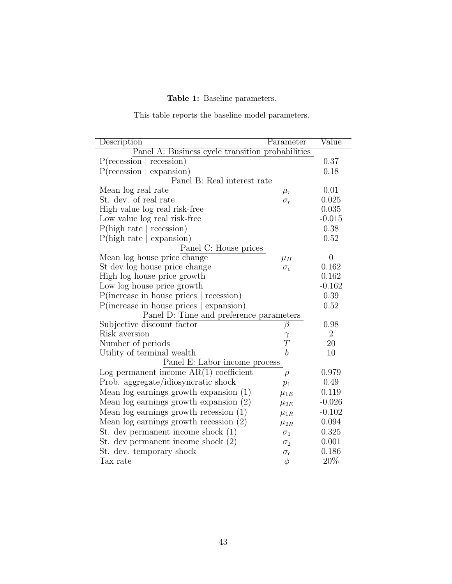### Table 1: Baseline parameters.

This table reports the baseline model parameters.

| Description                                                | Parameter           | Value          |
|------------------------------------------------------------|---------------------|----------------|
| Panel A: Business cycle transition probabilities           |                     |                |
| P(recession<br>recession)                                  |                     | 0.37           |
| $P(\text{recession} \mid \text{expansion})$                |                     | 0.18           |
| Panel B: Real interest rate                                |                     |                |
| Mean log real rate                                         | $\mu_r$             | 0.01           |
| St. dev. of real rate                                      | $\sigma_r$          | 0.025          |
| High value log real risk-free                              |                     | 0.035          |
| Low value log real risk-free                               |                     | $-0.015$       |
| P(high rate   recession)                                   |                     | 0.38           |
| P(high rate   expansion)                                   |                     | 0.52           |
| Panel C: House prices                                      |                     |                |
| Mean log house price change                                | $\mu_H$             | $\overline{0}$ |
| St dev log house price change                              | $\sigma_e$          | 0.162          |
| High log house price growth                                |                     | 0.162          |
| Low log house price growth                                 |                     | $-0.162$       |
| $P(\text{increase in house prices} \mid \text{recession})$ |                     | 0.39           |
| $P(\text{increase in house prices} \mid \text{expansion})$ |                     | 0.52           |
| Panel D: Time and preference parameters                    |                     |                |
| Subjective discount factor                                 | $\beta$             | 0.98           |
| Risk aversion                                              | $\frac{\gamma}{T}$  | $\overline{2}$ |
| Number of periods                                          |                     | 20             |
| Utility of terminal wealth                                 | $\boldsymbol{b}$    | 10             |
| Panel E: Labor income process                              |                     |                |
| Log permanent income $AR(1)$ coefficient                   | $\rho$              | 0.979          |
| Prob. aggregate/idiosyncratic shock                        | p <sub>1</sub>      | 0.49           |
| Mean $log$ earnings growth expansion $(1)$                 | $\mu_{1E}$          | 0.119          |
| Mean $log$ earnings growth expansion $(2)$                 | $\mu_{2E}$          | $-0.026$       |
| Mean $log$ earnings growth recession $(1)$                 | $\mu_{1R}$          | $-0.102$       |
| Mean $log$ earnings growth recession $(2)$                 | $\mu_{2R}$          | 0.094          |
| St. dev permanent income shock $(1)$                       | $\sigma_1$          | 0.325          |
| St. dev permanent income shock $(2)$                       | $\sigma_2$          | 0.001          |
| St. dev. temporary shock                                   | $\sigma_{\epsilon}$ | 0.186          |
| Tax rate                                                   | $\phi$              | 20%            |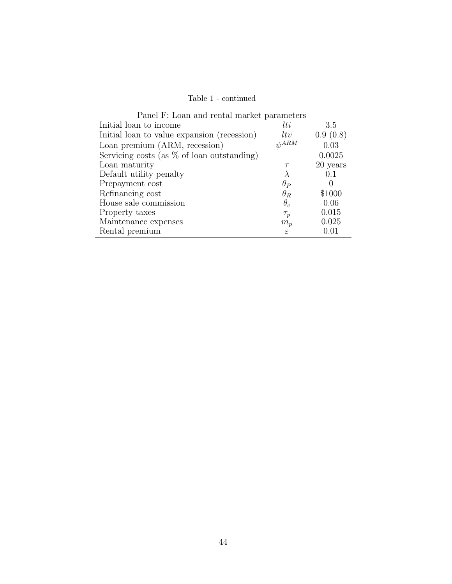| Table 1 - continued |  |
|---------------------|--|
|---------------------|--|

| Panel F: Loan and rental market parameters    |            |              |  |
|-----------------------------------------------|------------|--------------|--|
| Initial loan to income                        | lti        | 3.5          |  |
| Initial loan to value expansion (recession)   | ltv        | 0.9(0.8)     |  |
| Loan premium (ARM, recession)                 | $\eta/ARM$ | 0.03         |  |
| Servicing costs (as $\%$ of loan outstanding) |            | 0.0025       |  |
| Loan maturity                                 | $\tau$     | 20 years     |  |
| Default utility penalty                       |            | 0.1          |  |
| Prepayment cost                               | $\theta_P$ | $\mathbf{0}$ |  |
| Refinancing cost                              | $\theta_R$ | \$1000       |  |
| House sale commission                         | $\theta_c$ | 0.06         |  |
| Property taxes                                | $\tau_p$   | 0.015        |  |
| Maintenance expenses                          | $m_p$      | 0.025        |  |
| Rental premium                                | ε          | 0.01         |  |

44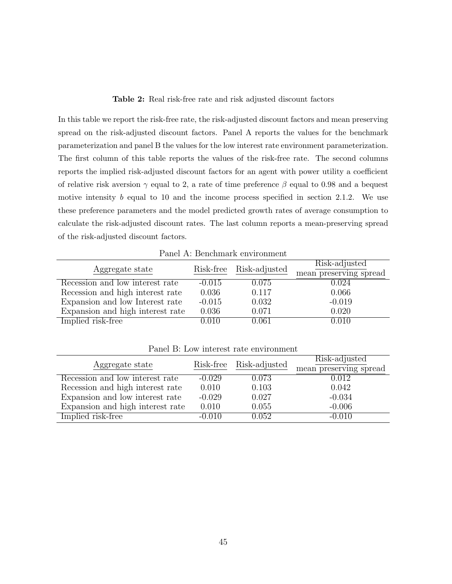#### Table 2: Real risk-free rate and risk adjusted discount factors

In this table we report the risk-free rate, the risk-adjusted discount factors and mean preserving spread on the risk-adjusted discount factors. Panel A reports the values for the benchmark parameterization and panel B the values for the low interest rate environment parameterization. The first column of this table reports the values of the risk-free rate. The second columns reports the implied risk-adjusted discount factors for an agent with power utility a coefficient of relative risk aversion  $\gamma$  equal to 2, a rate of time preference  $\beta$  equal to 0.98 and a bequest motive intensity  $b$  equal to 10 and the income process specified in section 2.1.2. We use these preference parameters and the model predicted growth rates of average consumption to calculate the risk-adjusted discount rates. The last column reports a mean-preserving spread of the risk-adjusted discount factors.

Panel A: Benchmark environment

| Aggregate state                  |           | Risk-free Risk-adjusted | Risk-adjusted<br>mean preserving spread |
|----------------------------------|-----------|-------------------------|-----------------------------------------|
| Recession and low interest rate  | $-0.015$  | 0.075                   | 1.024                                   |
| Recession and high interest rate | 0.036     | 0.117                   | 0.066                                   |
| Expansion and low Interest rate  | $-0.015$  | 0.032                   | $-0.019$                                |
| Expansion and high interest rate | 0.036     | 0.071                   | 0.020                                   |
| Implied risk-free                | $0.010\,$ | 0.061                   | 0.010                                   |

| Aggregate state                  |          | Risk-free Risk-adjusted | Risk-adjusted<br>mean preserving spread |
|----------------------------------|----------|-------------------------|-----------------------------------------|
| Recession and low interest rate  | $-0.029$ | 0.073                   | 1.012.                                  |
| Recession and high interest rate | 0.010    | 0.103                   | 0.042                                   |
| Expansion and low interest rate  | $-0.029$ | 0.027                   | $-0.034$                                |
| Expansion and high interest rate | 0.010    | 0.055                   | $-0.006$                                |
| Implied risk-free                | $-0.010$ | 0.052                   | $-0.010$                                |

Panel B: Low interest rate environment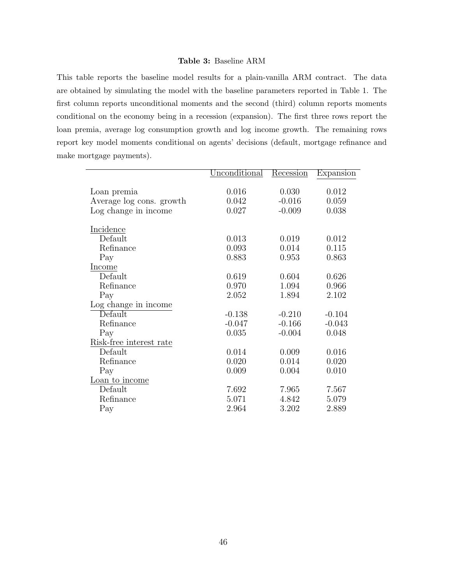### Table 3: Baseline ARM

This table reports the baseline model results for a plain-vanilla ARM contract. The data are obtained by simulating the model with the baseline parameters reported in Table 1. The first column reports unconditional moments and the second (third) column reports moments conditional on the economy being in a recession (expansion). The first three rows report the loan premia, average log consumption growth and log income growth. The remaining rows report key model moments conditional on agents' decisions (default, mortgage refinance and make mortgage payments).

|                          | Unconditional | Recession | Expansion |
|--------------------------|---------------|-----------|-----------|
| Loan premia              | 0.016         | 0.030     | 0.012     |
| Average log cons. growth | 0.042         | $-0.016$  | 0.059     |
| Log change in income     | 0.027         | $-0.009$  | 0.038     |
| Incidence                |               |           |           |
| Default                  | 0.013         | 0.019     | 0.012     |
| Refinance                | 0.093         | 0.014     | 0.115     |
| Pay                      | 0.883         | 0.953     | 0.863     |
| Income                   |               |           |           |
| Default                  | 0.619         | 0.604     | 0.626     |
| Refinance                | 0.970         | 1.094     | 0.966     |
| Pay                      | 2.052         | 1.894     | 2.102     |
| Log change in income     |               |           |           |
| Default                  | $-0.138$      | $-0.210$  | $-0.104$  |
| Refinance                | $-0.047$      | $-0.166$  | $-0.043$  |
| Pay                      | 0.035         | $-0.004$  | 0.048     |
| Risk-free interest rate  |               |           |           |
| Default                  | 0.014         | 0.009     | 0.016     |
| Refinance                | 0.020         | 0.014     | 0.020     |
| Pay                      | 0.009         | 0.004     | 0.010     |
| Loan to income           |               |           |           |
| Default                  | 7.692         | 7.965     | 7.567     |
| Refinance                | 5.071         | 4.842     | 5.079     |
| Pay                      | 2.964         | 3.202     | 2.889     |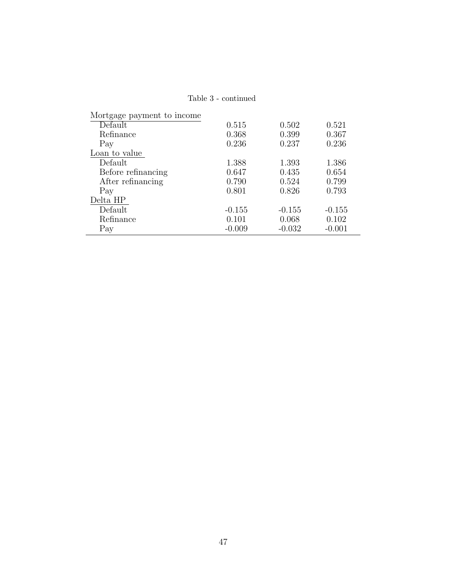|  | Table 3 - continued |
|--|---------------------|
|--|---------------------|

| Mortgage payment to income |          |          |          |
|----------------------------|----------|----------|----------|
| Default                    | 0.515    | 0.502    | 0.521    |
| Refinance                  | 0.368    | 0.399    | 0.367    |
| Pay                        | 0.236    | 0.237    | 0.236    |
| Loan to value              |          |          |          |
| Default                    | 1.388    | 1.393    | 1.386    |
| Before refinancing         | 0.647    | 0.435    | 0.654    |
| After refinancing          | 0.790    | 0.524    | 0.799    |
| Pay                        | 0.801    | 0.826    | 0.793    |
| Delta HP                   |          |          |          |
| Default                    | $-0.155$ | $-0.155$ | $-0.155$ |
| Refinance                  | 0.101    | 0.068    | 0.102    |
| Pay                        | $-0.009$ | $-0.032$ | $-0.001$ |
|                            |          |          |          |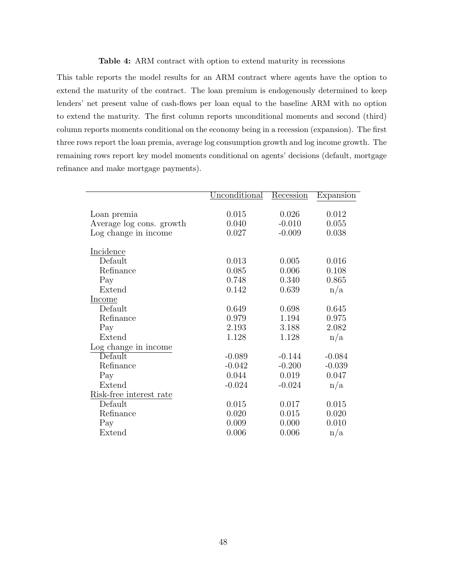#### Table 4: ARM contract with option to extend maturity in recessions

This table reports the model results for an ARM contract where agents have the option to extend the maturity of the contract. The loan premium is endogenously determined to keep lenders' net present value of cash-flows per loan equal to the baseline ARM with no option to extend the maturity. The first column reports unconditional moments and second (third) column reports moments conditional on the economy being in a recession (expansion). The first three rows report the loan premia, average log consumption growth and log income growth. The remaining rows report key model moments conditional on agents' decisions (default, mortgage refinance and make mortgage payments).

|                          | Unconditional | Recession | Expansion |
|--------------------------|---------------|-----------|-----------|
|                          |               |           |           |
| Loan premia              | 0.015         | 0.026     | 0.012     |
| Average log cons. growth | 0.040         | $-0.010$  | 0.055     |
| Log change in income     | 0.027         | $-0.009$  | 0.038     |
| Incidence                |               |           |           |
| Default                  | 0.013         | 0.005     | 0.016     |
| Refinance                | 0.085         | 0.006     | 0.108     |
| Pay                      | 0.748         | 0.340     | 0.865     |
| Extend                   | 0.142         | 0.639     | n/a       |
| Income                   |               |           |           |
| Default                  | 0.649         | 0.698     | 0.645     |
| Refinance                | 0.979         | 1.194     | 0.975     |
| Pay                      | 2.193         | 3.188     | 2.082     |
| Extend                   | 1.128         | 1.128     | n/a       |
| Log change in income     |               |           |           |
| Default                  | $-0.089$      | $-0.144$  | $-0.084$  |
| Refinance                | $-0.042$      | $-0.200$  | $-0.039$  |
| Pay                      | 0.044         | 0.019     | 0.047     |
| Extend                   | $-0.024$      | $-0.024$  | n/a       |
| Risk-free interest rate  |               |           |           |
| Default                  | 0.015         | 0.017     | 0.015     |
| Refinance                | 0.020         | 0.015     | 0.020     |
| Pay                      | 0.009         | 0.000     | 0.010     |
| Extend                   | 0.006         | 0.006     | n/a       |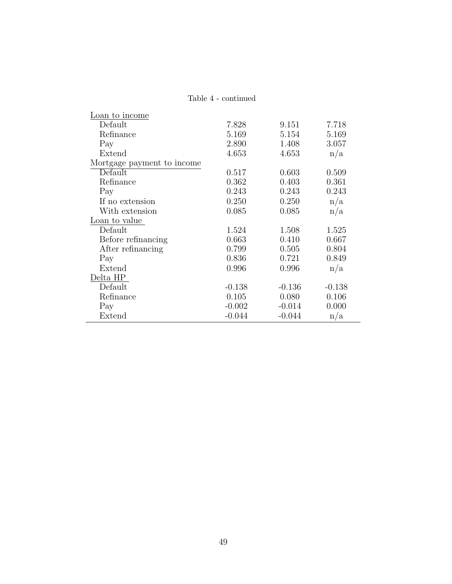Table 4 - continued

| Loan to income             |          |          |          |
|----------------------------|----------|----------|----------|
| Default                    | 7.828    | 9.151    | 7.718    |
| Refinance                  | 5.169    | 5.154    | 5.169    |
| Pay                        | 2.890    | 1.408    | 3.057    |
| Extend                     | 4.653    | 4.653    | n/a      |
| Mortgage payment to income |          |          |          |
| Default                    | 0.517    | 0.603    | 0.509    |
| Refinance                  | 0.362    | 0.403    | 0.361    |
| Pay                        | 0.243    | 0.243    | 0.243    |
| If no extension            | 0.250    | 0.250    | n/a      |
| With extension             | 0.085    | 0.085    | n/a      |
| Loan to value              |          |          |          |
| Default                    | 1.524    | 1.508    | 1.525    |
| Before refinancing         | 0.663    | 0.410    | 0.667    |
| After refinancing          | 0.799    | 0.505    | 0.804    |
| Pay                        | 0.836    | 0.721    | 0.849    |
| Extend                     | 0.996    | 0.996    | n/a      |
| Delta HP                   |          |          |          |
| Default                    | $-0.138$ | $-0.136$ | $-0.138$ |
| Refinance                  | 0.105    | 0.080    | 0.106    |
| Pay                        | $-0.002$ | $-0.014$ | 0.000    |
| Extend                     | $-0.044$ | $-0.044$ | n/a      |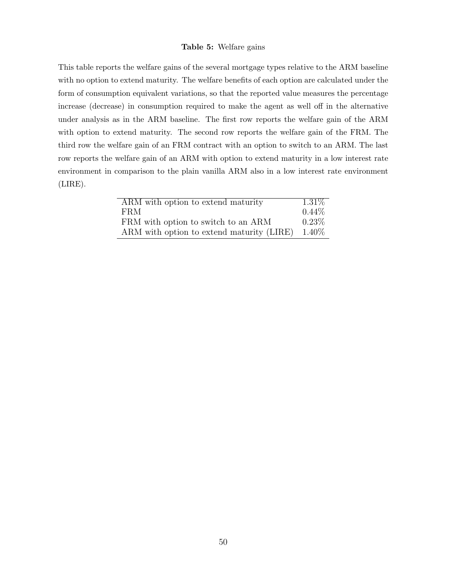#### Table 5: Welfare gains

This table reports the welfare gains of the several mortgage types relative to the ARM baseline with no option to extend maturity. The welfare benefits of each option are calculated under the form of consumption equivalent variations, so that the reported value measures the percentage increase (decrease) in consumption required to make the agent as well off in the alternative under analysis as in the ARM baseline. The first row reports the welfare gain of the ARM with option to extend maturity. The second row reports the welfare gain of the FRM. The third row the welfare gain of an FRM contract with an option to switch to an ARM. The last row reports the welfare gain of an ARM with option to extend maturity in a low interest rate environment in comparison to the plain vanilla ARM also in a low interest rate environment (LIRE).

| ARM with option to extend maturity        | $1.31\%$ |
|-------------------------------------------|----------|
| FRM-                                      | $0.44\%$ |
| FRM with option to switch to an ARM       | $0.23\%$ |
| ARM with option to extend maturity (LIRE) | $1.40\%$ |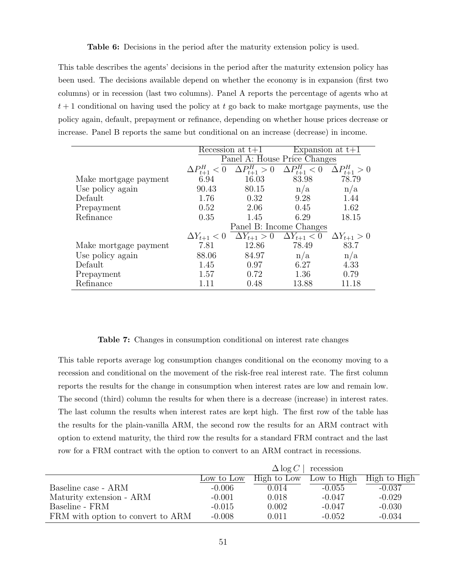Table 6: Decisions in the period after the maturity extension policy is used.

This table describes the agents' decisions in the period after the maturity extension policy has been used. The decisions available depend on whether the economy is in expansion (first two columns) or in recession (last two columns). Panel A reports the percentage of agents who at  $t+1$  conditional on having used the policy at t go back to make mortgage payments, use the policy again, default, prepayment or refinance, depending on whether house prices decrease or increase. Panel B reports the same but conditional on an increase (decrease) in income.

|                       |                         | Recession at $t+1$           | Expansion at $t+1$     |                        |
|-----------------------|-------------------------|------------------------------|------------------------|------------------------|
|                       |                         |                              |                        |                        |
|                       |                         | Panel A: House Price Changes |                        |                        |
|                       | $\Delta P_{t+1}^H < 0$  | $\Delta P_{t+1}^H > 0$       | $\Delta P_{t+1}^H < 0$ | $\Delta P_{t+1}^H > 0$ |
| Make mortgage payment | 6.94                    | 16.03                        | 83.98                  | 78.79                  |
| Use policy again      | 90.43                   | 80.15                        | n/a                    | n/a                    |
| Default               | 1.76                    | 0.32                         | 9.28                   | 1.44                   |
| Prepayment            | 0.52                    | 2.06                         | 0.45                   | 1.62                   |
| Refinance             | 0.35                    | 1.45                         | 6.29                   | 18.15                  |
|                       | Panel B: Income Changes |                              |                        |                        |
|                       | $\Delta Y_{t+1} < 0$    | $\Delta Y_{t+1} > 0$         | $\Delta Y_{t+1} < 0$   | $\Delta Y_{t+1} > 0$   |
| Make mortgage payment | 7.81                    | 12.86                        | 78.49                  | 83.7                   |
| Use policy again      | 88.06                   | 84.97                        | n/a                    | n/a                    |
| Default               | 1.45                    | 0.97                         | 6.27                   | 4.33                   |
| Prepayment            | 1.57                    | 0.72                         | 1.36                   | 0.79                   |
| Refinance             |                         | 0.48                         | 13.88                  | 11.18                  |

#### Table 7: Changes in consumption conditional on interest rate changes

This table reports average log consumption changes conditional on the economy moving to a recession and conditional on the movement of the risk-free real interest rate. The first column reports the results for the change in consumption when interest rates are low and remain low. The second (third) column the results for when there is a decrease (increase) in interest rates. The last column the results when interest rates are kept high. The first row of the table has the results for the plain-vanilla ARM, the second row the results for an ARM contract with option to extend maturity, the third row the results for a standard FRM contract and the last row for a FRM contract with the option to convert to an ARM contract in recessions.

|                                   |            |             | $\Delta \log C$ recession |              |
|-----------------------------------|------------|-------------|---------------------------|--------------|
|                                   | Low to Low | High to Low | Low to High               | High to High |
| Baseline case - ARM               | $-0.006$   | 0.014       | $-0.055$                  | $-0.037$     |
| Maturity extension - ARM          | $-0.001$   | 0.018       | $-0.047$                  | $-0.029$     |
| Baseline - FRM                    | $-0.015$   | 0.002       | $-0.047$                  | $-0.030$     |
| FRM with option to convert to ARM | $-0.008$   | 0.011       | $-0.052$                  | $-0.034$     |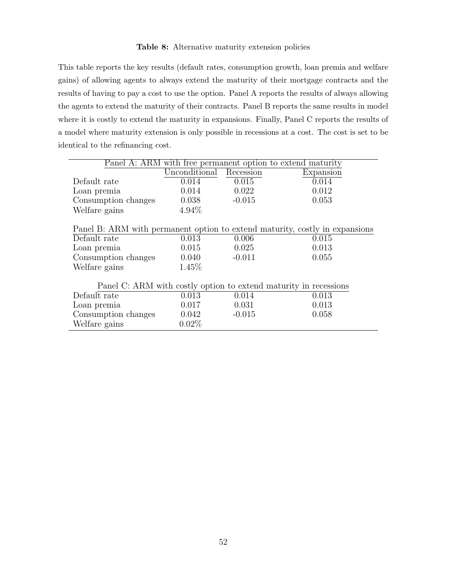#### Table 8: Alternative maturity extension policies

This table reports the key results (default rates, consumption growth, loan premia and welfare gains) of allowing agents to always extend the maturity of their mortgage contracts and the results of having to pay a cost to use the option. Panel A reports the results of always allowing the agents to extend the maturity of their contracts. Panel B reports the same results in model where it is costly to extend the maturity in expansions. Finally, Panel C reports the results of a model where maturity extension is only possible in recessions at a cost. The cost is set to be identical to the refinancing cost.

| Panel A: ARM with free permanent option to extend maturity |               |           |                                                                             |  |
|------------------------------------------------------------|---------------|-----------|-----------------------------------------------------------------------------|--|
|                                                            | Unconditional | Recession | Expansion                                                                   |  |
| Default rate                                               | 0.014         | 0.015     | 0.014                                                                       |  |
| Loan premia                                                | 0.014         | 0.022     | 0.012                                                                       |  |
| Consumption changes                                        | 0.038         | $-0.015$  | 0.053                                                                       |  |
| Welfare gains                                              | 4.94\%        |           |                                                                             |  |
|                                                            |               |           |                                                                             |  |
|                                                            |               |           | Panel B: ARM with permanent option to extend maturity, costly in expansions |  |
| Default rate                                               | 0.013         | 0.006     | 0.015                                                                       |  |
| Loan premia                                                | 0.015         | 0.025     | 0.013                                                                       |  |
| Consumption changes                                        | 0.040         | $-0.011$  | 0.055                                                                       |  |
| Welfare gains                                              | $1.45\%$      |           |                                                                             |  |
|                                                            |               |           |                                                                             |  |
|                                                            |               |           | Panel C: ARM with costly option to extend maturity in recessions            |  |
| Default rate                                               | 0.013         | 0.014     | 0.013                                                                       |  |
| Loan premia                                                | 0.017         | 0.031     | 0.013                                                                       |  |
| Consumption changes                                        | 0.042         | $-0.015$  | 0.058                                                                       |  |
| Welfare gains                                              | $0.02\%$      |           |                                                                             |  |
|                                                            |               |           |                                                                             |  |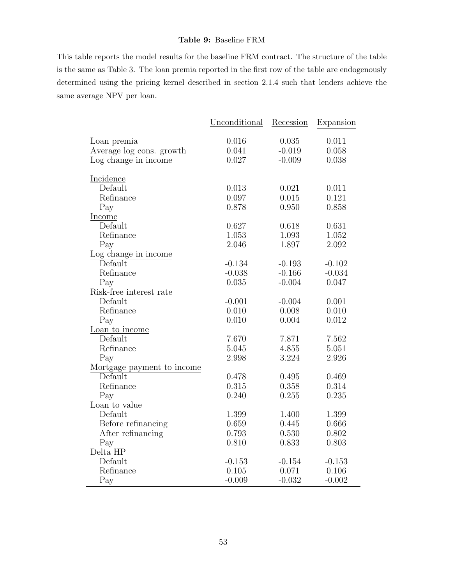### Table 9: Baseline FRM

This table reports the model results for the baseline FRM contract. The structure of the table is the same as Table 3. The loan premia reported in the first row of the table are endogenously determined using the pricing kernel described in section 2.1.4 such that lenders achieve the same average NPV per loan.

|                            | Unconditional | Recession | Expansion |
|----------------------------|---------------|-----------|-----------|
|                            |               |           |           |
| Loan premia                | 0.016         | 0.035     | 0.011     |
| Average log cons. growth   | 0.041         | $-0.019$  | 0.058     |
| Log change in income       | 0.027         | $-0.009$  | 0.038     |
| Incidence                  |               |           |           |
| Default                    | 0.013         | 0.021     | 0.011     |
| Refinance                  | 0.097         | 0.015     | 0.121     |
| Pay                        | 0.878         | 0.950     | 0.858     |
| Income                     |               |           |           |
| Default                    | 0.627         | 0.618     | 0.631     |
| Refinance                  | 1.053         | 1.093     | 1.052     |
| Pay                        | 2.046         | 1.897     | 2.092     |
| Log change in income       |               |           |           |
| Default                    | $-0.134$      | $-0.193$  | $-0.102$  |
| Refinance                  | $-0.038$      | $-0.166$  | $-0.034$  |
| Pay                        | 0.035         | $-0.004$  | 0.047     |
| Risk-free interest rate    |               |           |           |
| Default                    | $-0.001$      | $-0.004$  | 0.001     |
| Refinance                  | 0.010         | 0.008     | 0.010     |
| Pay                        | 0.010         | 0.004     | 0.012     |
| Loan to income             |               |           |           |
| Default                    | 7.670         | 7.871     | 7.562     |
| Refinance                  | 5.045         | 4.855     | 5.051     |
| Pay                        | 2.998         | 3.224     | 2.926     |
| Mortgage payment to income |               |           |           |
| Default                    | 0.478         | 0.495     | 0.469     |
| Refinance                  | 0.315         | 0.358     | 0.314     |
| Pay                        | 0.240         | 0.255     | 0.235     |
| Loan to value              |               |           |           |
| Default                    | 1.399         | 1.400     | 1.399     |
| Before refinancing         | 0.659         | 0.445     | 0.666     |
| After refinancing          | 0.793         | 0.530     | 0.802     |
| Pay                        | 0.810         | 0.833     | 0.803     |
| Delta HP                   |               |           |           |
| Default                    | $-0.153$      | $-0.154$  | $-0.153$  |
| Refinance                  | 0.105         | 0.071     | 0.106     |
| Pay                        | $-0.009$      | $-0.032$  | $-0.002$  |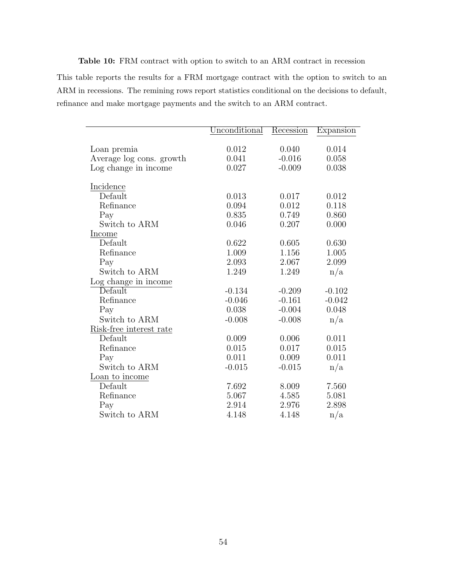### Table 10: FRM contract with option to switch to an ARM contract in recession

This table reports the results for a FRM mortgage contract with the option to switch to an ARM in recessions. The remining rows report statistics conditional on the decisions to default, refinance and make mortgage payments and the switch to an ARM contract.

|                          | Unconditional | Recession | Expansion |
|--------------------------|---------------|-----------|-----------|
|                          |               |           |           |
| Loan premia              | 0.012         | 0.040     | 0.014     |
| Average log cons. growth | 0.041         | $-0.016$  | 0.058     |
| Log change in income     | 0.027         | $-0.009$  | 0.038     |
| Incidence                |               |           |           |
| Default                  | 0.013         | 0.017     | 0.012     |
| Refinance                | 0.094         | 0.012     | 0.118     |
| Pay                      | 0.835         | 0.749     | 0.860     |
| Switch to ARM            | 0.046         | 0.207     | 0.000     |
| <b>Income</b>            |               |           |           |
| Default                  | 0.622         | 0.605     | 0.630     |
| Refinance                | 1.009         | 1.156     | 1.005     |
| Pay                      | 2.093         | 2.067     | 2.099     |
| Switch to ARM            | 1.249         | 1.249     | n/a       |
| Log change in income     |               |           |           |
| Default                  | $-0.134$      | $-0.209$  | $-0.102$  |
| Refinance                | $-0.046$      | $-0.161$  | $-0.042$  |
| Pay                      | 0.038         | $-0.004$  | 0.048     |
| Switch to ARM            | $-0.008$      | $-0.008$  | n/a       |
| Risk-free interest rate  |               |           |           |
| Default                  | 0.009         | 0.006     | 0.011     |
| Refinance                | 0.015         | 0.017     | 0.015     |
| Pay                      | 0.011         | 0.009     | 0.011     |
| Switch to ARM            | $-0.015$      | $-0.015$  | n/a       |
| Loan to income           |               |           |           |
| Default                  | 7.692         | 8.009     | 7.560     |
| Refinance                | 5.067         | 4.585     | 5.081     |
| Pay                      | 2.914         | 2.976     | 2.898     |
| Switch to ARM            | 4.148         | 4.148     | n/a       |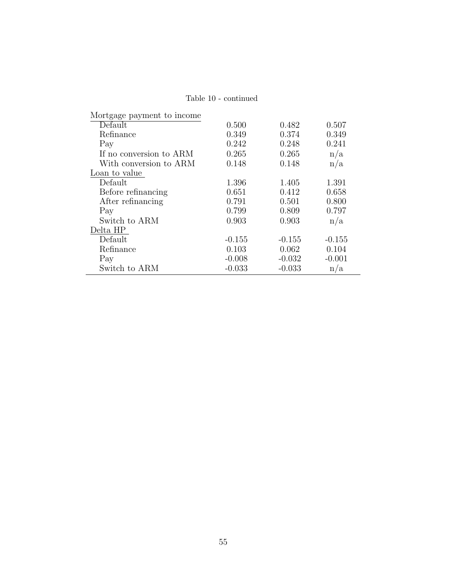|  | Table 10 - continued |
|--|----------------------|

| Mortgage payment to income |          |          |          |
|----------------------------|----------|----------|----------|
| Default                    | 0.500    | 0.482    | 0.507    |
| Refinance                  | 0.349    | 0.374    | 0.349    |
| Pay                        | 0.242    | 0.248    | 0.241    |
| If no conversion to ARM    | 0.265    | 0.265    | n/a      |
| With conversion to ARM     | 0.148    | 0.148    | n/a      |
| Loan to value              |          |          |          |
| Default                    | 1.396    | 1.405    | 1.391    |
| Before refinancing         | 0.651    | 0.412    | 0.658    |
| After refinancing          | 0.791    | 0.501    | 0.800    |
| Pay                        | 0.799    | 0.809    | 0.797    |
| Switch to ARM              | 0.903    | 0.903    | n/a      |
| Delta HP                   |          |          |          |
| Default                    | $-0.155$ | $-0.155$ | $-0.155$ |
| Refinance                  | 0.103    | 0.062    | 0.104    |
| Pay                        | $-0.008$ | $-0.032$ | $-0.001$ |
| Switch to ARM              | $-0.033$ | $-0.033$ | n/a      |
|                            |          |          |          |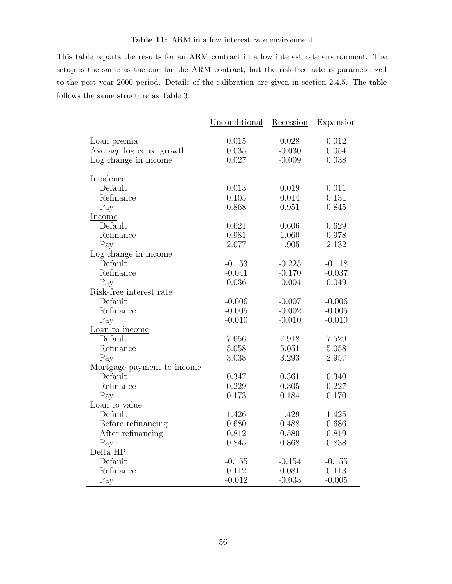#### Table 11: ARM in a low interest rate environment

This table reports the results for an ARM contract in a low interest rate environment. The setup is the same as the one for the ARM contract, but the risk-free rate is parameterized to the post year 2000 period. Details of the calibration are given in section 2.4.5. The table follows the same structure as Table 3.

|                                 | Unconditional | Recession | Expansion |
|---------------------------------|---------------|-----------|-----------|
|                                 |               |           |           |
| Loan premia                     | 0.015         | 0.028     | 0.012     |
| Average log cons. growth        | 0.035         | $-0.030$  | 0.054     |
| Log change in income            | 0.027         | $-0.009$  | 0.038     |
| Incidence                       |               |           |           |
| Default                         | 0.013         | 0.019     | 0.011     |
| Refinance                       | 0.105         | 0.014     | 0.131     |
| Pay                             | 0.868         | 0.951     | 0.845     |
| Income                          |               |           |           |
| Default                         | 0.621         | 0.606     | 0.629     |
| Refinance                       | 0.981         | 1.060     | 0.978     |
| Pay                             | 2.077         | 1.905     | 2.132     |
|                                 |               |           |           |
| Log change in income<br>Default |               |           |           |
|                                 | $-0.153$      | $-0.225$  | $-0.118$  |
| Refinance                       | $-0.041$      | $-0.170$  | $-0.037$  |
| Pay                             | 0.036         | $-0.004$  | 0.049     |
| Risk-free interest rate         |               |           |           |
| Default                         | $-0.006$      | $-0.007$  | $-0.006$  |
| Refinance                       | $-0.005$      | $-0.002$  | $-0.005$  |
| Pay                             | $-0.010$      | $-0.010$  | $-0.010$  |
| Loan to income                  |               |           |           |
| Default                         | 7.656         | 7.918     | 7.529     |
| Refinance                       | 5.058         | 5.051     | 5.058     |
| Pay                             | 3.038         | 3.293     | 2.957     |
| Mortgage payment to income      |               |           |           |
| Default                         | 0.347         | 0.361     | 0.340     |
| Refinance                       | 0.229         | 0.305     | 0.227     |
| Pay                             | 0.173         | 0.184     | 0.170     |
| Loan to value                   |               |           |           |
| Default                         | 1.426         | 1.429     | 1.425     |
| Before refinancing              | 0.680         | 0.488     | 0.686     |
| After refinancing               | 0.812         | 0.580     | 0.819     |
| Pay                             | 0.845         | 0.868     | 0.838     |
| Delta HP                        |               |           |           |
| Default                         | $-0.155$      | $-0.154$  | $-0.155$  |
| Refinance                       | 0.112         | 0.081     | 0.113     |
| Pay                             | $-0.012$      | $-0.033$  | $-0.005$  |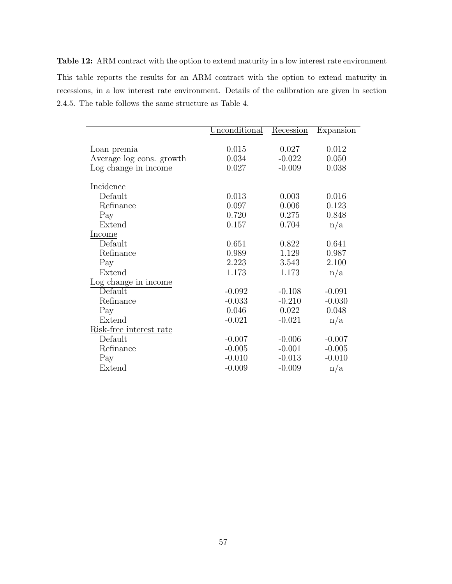Table 12: ARM contract with the option to extend maturity in a low interest rate environment This table reports the results for an ARM contract with the option to extend maturity in recessions, in a low interest rate environment. Details of the calibration are given in section 2.4.5. The table follows the same structure as Table 4.

|                          | Unconditional | Recession | Expansion |
|--------------------------|---------------|-----------|-----------|
| Loan premia              | 0.015         | 0.027     | 0.012     |
| Average log cons. growth | 0.034         | $-0.022$  | 0.050     |
| Log change in income     | 0.027         | $-0.009$  | 0.038     |
| Incidence                |               |           |           |
| Default                  | 0.013         | 0.003     | 0.016     |
| Refinance                | 0.097         | 0.006     | 0.123     |
| Pay                      | 0.720         | 0.275     | 0.848     |
| Extend                   | 0.157         | 0.704     | n/a       |
| Income                   |               |           |           |
| Default                  | 0.651         | 0.822     | 0.641     |
| Refinance                | 0.989         | 1.129     | 0.987     |
| Pay                      | 2.223         | 3.543     | 2.100     |
| Extend                   | 1.173         | 1.173     | n/a       |
| Log change in income     |               |           |           |
| Default                  | $-0.092$      | $-0.108$  | $-0.091$  |
| Refinance                | $-0.033$      | $-0.210$  | $-0.030$  |
| Pay                      | 0.046         | 0.022     | 0.048     |
| Extend                   | $-0.021$      | $-0.021$  | n/a       |
| Risk-free interest rate  |               |           |           |
| Default                  | $-0.007$      | $-0.006$  | $-0.007$  |
| Refinance                | $-0.005$      | $-0.001$  | $-0.005$  |
| Pay                      | $-0.010$      | $-0.013$  | $-0.010$  |
| Extend                   | $-0.009$      | $-0.009$  | n/a       |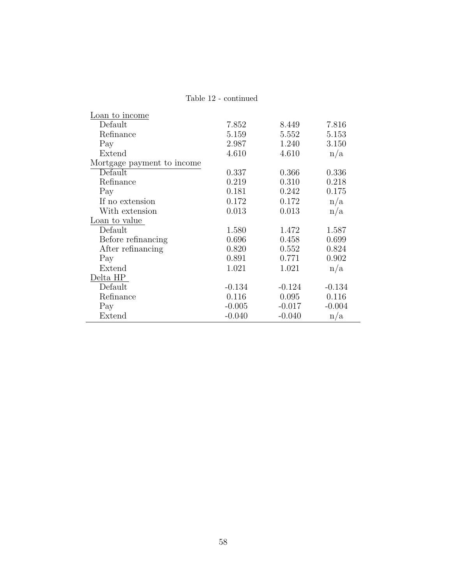Table 12 - continued

| Loan to income             |          |          |          |
|----------------------------|----------|----------|----------|
| Default                    | 7.852    | 8.449    | 7.816    |
| Refinance                  | 5.159    | 5.552    | 5.153    |
| Pay                        | 2.987    | 1.240    | 3.150    |
| Extend                     | 4.610    | 4.610    | n/a      |
| Mortgage payment to income |          |          |          |
| Default                    | 0.337    | 0.366    | 0.336    |
| Refinance                  | 0.219    | 0.310    | 0.218    |
| Pay                        | 0.181    | 0.242    | 0.175    |
| If no extension            | 0.172    | 0.172    | n/a      |
| With extension             | 0.013    | 0.013    | n/a      |
| Loan to value              |          |          |          |
| Default                    | 1.580    | 1.472    | 1.587    |
| Before refinancing         | 0.696    | 0.458    | 0.699    |
| After refinancing          | 0.820    | 0.552    | 0.824    |
| Pay                        | 0.891    | 0.771    | 0.902    |
| Extend                     | 1.021    | 1.021    | n/a      |
| Delta HP                   |          |          |          |
| Default                    | $-0.134$ | $-0.124$ | $-0.134$ |
| Refinance                  | 0.116    | 0.095    | 0.116    |
| Pay                        | $-0.005$ | $-0.017$ | $-0.004$ |
| Extend                     | $-0.040$ | $-0.040$ | n/a      |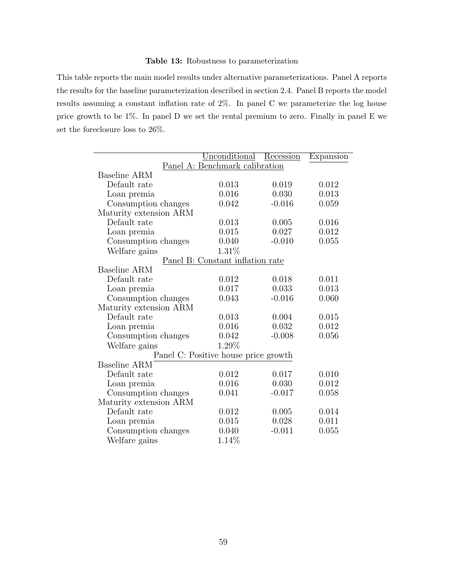### Table 13: Robustness to parameterization

This table reports the main model results under alternative parameterizations. Panel A reports the results for the baseline parameterization described in section 2.4. Panel B reports the model results assuming a constant inflation rate of 2%. In panel C we parameterize the log house price growth to be 1%. In panel D we set the rental premium to zero. Finally in panel E we set the foreclosure loss to 26%.

|                        | Unconditional                        | Recession | Expansion |
|------------------------|--------------------------------------|-----------|-----------|
|                        | Panel A: Benchmark calibration       |           |           |
| <b>Baseline ARM</b>    |                                      |           |           |
| Default rate           | 0.013                                | 0.019     | 0.012     |
| Loan premia            | 0.016                                | 0.030     | 0.013     |
| Consumption changes    | 0.042                                | $-0.016$  | 0.059     |
| Maturity extension ARM |                                      |           |           |
| Default rate           | 0.013                                | 0.005     | 0.016     |
| Loan premia            | 0.015                                | 0.027     | 0.012     |
| Consumption changes    | 0.040                                | $-0.010$  | 0.055     |
| Welfare gains          | 1.31%                                |           |           |
|                        | Panel B: Constant inflation rate     |           |           |
| Baseline ARM           |                                      |           |           |
| Default rate           | 0.012                                | 0.018     | 0.011     |
| Loan premia            | 0.017                                | 0.033     | 0.013     |
| Consumption changes    | 0.043                                | $-0.016$  | 0.060     |
| Maturity extension ARM |                                      |           |           |
| Default rate           | 0.013                                | 0.004     | 0.015     |
| Loan premia            | 0.016                                | 0.032     | 0.012     |
| Consumption changes    | 0.042                                | $-0.008$  | 0.056     |
| Welfare gains          | 1.29%                                |           |           |
|                        | Panel C: Positive house price growth |           |           |
| Baseline ARM           |                                      |           |           |
| Default rate           | 0.012                                | 0.017     | 0.010     |
| Loan premia            | 0.016                                | 0.030     | 0.012     |
| Consumption changes    | 0.041                                | $-0.017$  | 0.058     |
| Maturity extension ARM |                                      |           |           |
| Default rate           | 0.012                                | 0.005     | 0.014     |
| Loan premia            | 0.015                                | 0.028     | 0.011     |
| Consumption changes    | 0.040                                | $-0.011$  | 0.055     |
| Welfare gains          | 1.14\%                               |           |           |